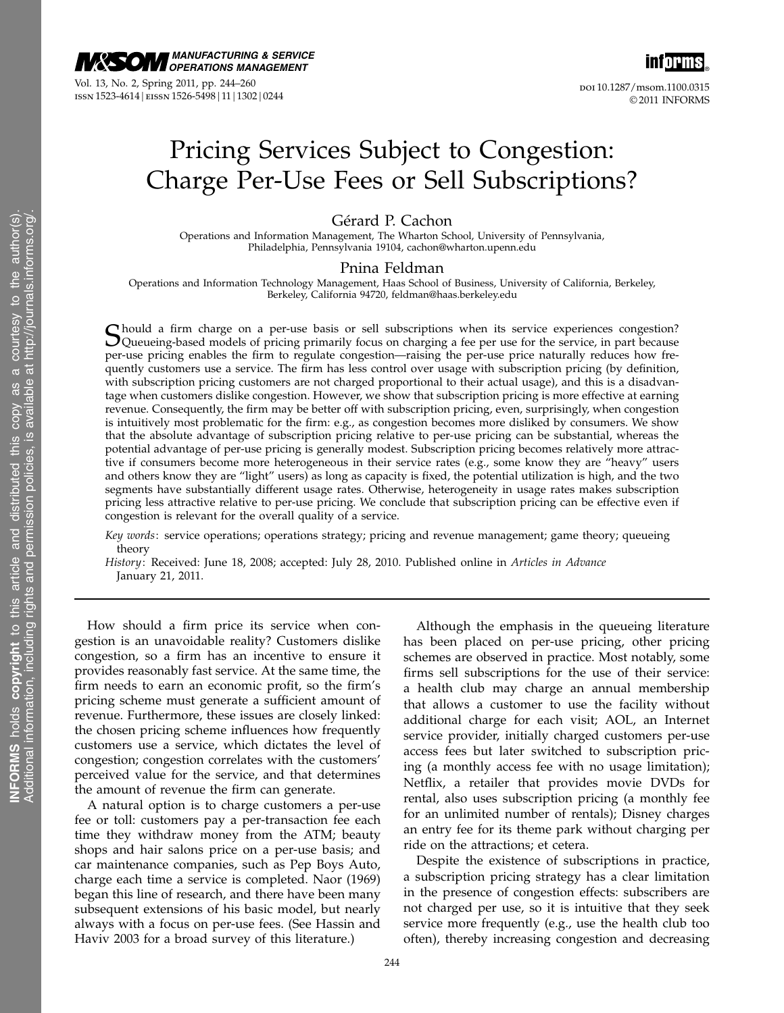

Vol. 13, No. 2, Spring 2011, pp. 244–260 issn 1523-4614 | eissn 1526-5498 | 11 | 1302 | 0244



© 2011 INFORMS

# Pricing Services Subject to Congestion: Charge Per-Use Fees or Sell Subscriptions?

Gérard P. Cachon

Operations and Information Management, The Wharton School, University of Pennsylvania, Philadelphia, Pennsylvania 19104, cachon@wharton.upenn.edu

### Pnina Feldman

Operations and Information Technology Management, Haas School of Business, University of California, Berkeley, Berkeley, California 94720, feldman@haas.berkeley.edu

Should a firm charge on a per-use basis or sell subscriptions when its service experiences congestion?<br>Queueing-based models of pricing primarily focus on charging a fee per use for the service, in part because per-use pricing enables the firm to regulate congestion—raising the per-use price naturally reduces how frequently customers use a service. The firm has less control over usage with subscription pricing (by definition, with subscription pricing customers are not charged proportional to their actual usage), and this is a disadvantage when customers dislike congestion. However, we show that subscription pricing is more effective at earning revenue. Consequently, the firm may be better off with subscription pricing, even, surprisingly, when congestion is intuitively most problematic for the firm: e.g., as congestion becomes more disliked by consumers. We show that the absolute advantage of subscription pricing relative to per-use pricing can be substantial, whereas the potential advantage of per-use pricing is generally modest. Subscription pricing becomes relatively more attractive if consumers become more heterogeneous in their service rates (e.g., some know they are "heavy" users and others know they are "light" users) as long as capacity is fixed, the potential utilization is high, and the two segments have substantially different usage rates. Otherwise, heterogeneity in usage rates makes subscription pricing less attractive relative to per-use pricing. We conclude that subscription pricing can be effective even if congestion is relevant for the overall quality of a service.

- Key words: service operations; operations strategy; pricing and revenue management; game theory; queueing theory
- History: Received: June 18, 2008; accepted: July 28, 2010. Published online in Articles in Advance January 21, 2011.

How should a firm price its service when congestion is an unavoidable reality? Customers dislike congestion, so a firm has an incentive to ensure it provides reasonably fast service. At the same time, the firm needs to earn an economic profit, so the firm's pricing scheme must generate a sufficient amount of revenue. Furthermore, these issues are closely linked: the chosen pricing scheme influences how frequently customers use a service, which dictates the level of congestion; congestion correlates with the customers' perceived value for the service, and that determines the amount of revenue the firm can generate.

A natural option is to charge customers a per-use fee or toll: customers pay a per-transaction fee each time they withdraw money from the ATM; beauty shops and hair salons price on a per-use basis; and car maintenance companies, such as Pep Boys Auto, charge each time a service is completed. Naor (1969) began this line of research, and there have been many subsequent extensions of his basic model, but nearly always with a focus on per-use fees. (See Hassin and Haviv 2003 for a broad survey of this literature.)

Although the emphasis in the queueing literature has been placed on per-use pricing, other pricing schemes are observed in practice. Most notably, some firms sell subscriptions for the use of their service: a health club may charge an annual membership that allows a customer to use the facility without additional charge for each visit; AOL, an Internet service provider, initially charged customers per-use access fees but later switched to subscription pricing (a monthly access fee with no usage limitation); Netflix, a retailer that provides movie DVDs for rental, also uses subscription pricing (a monthly fee for an unlimited number of rentals); Disney charges an entry fee for its theme park without charging per ride on the attractions; et cetera.

Despite the existence of subscriptions in practice, a subscription pricing strategy has a clear limitation in the presence of congestion effects: subscribers are not charged per use, so it is intuitive that they seek service more frequently (e.g., use the health club too often), thereby increasing congestion and decreasing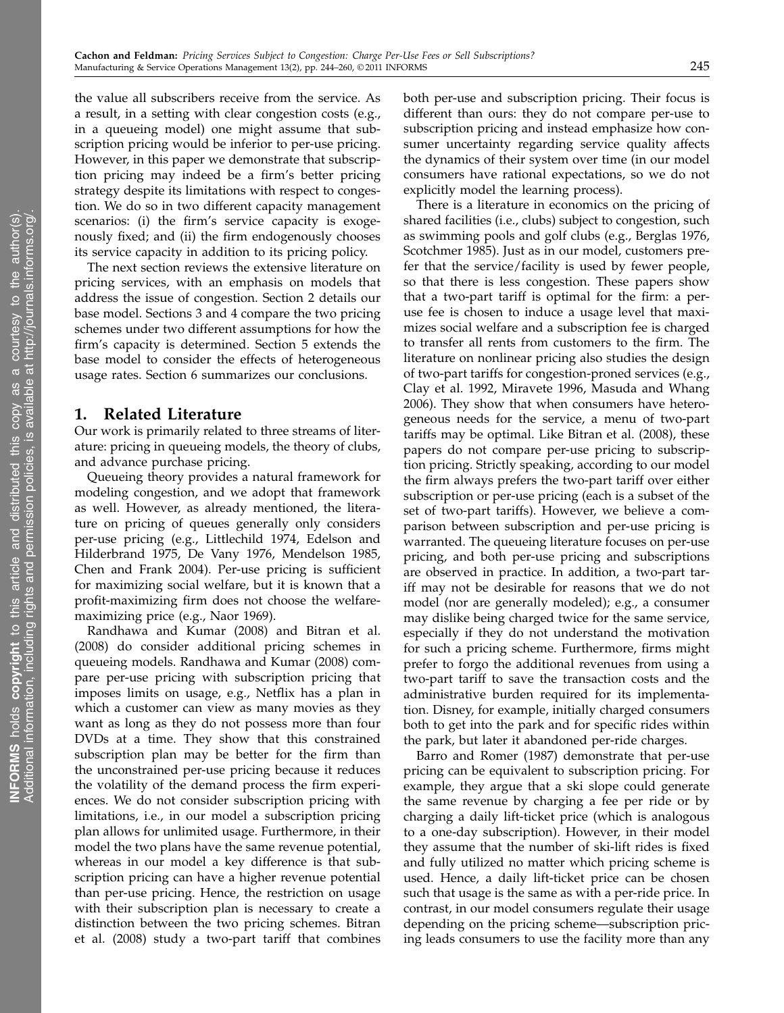the value all subscribers receive from the service. As a result, in a setting with clear congestion costs (e.g., in a queueing model) one might assume that subscription pricing would be inferior to per-use pricing. However, in this paper we demonstrate that subscription pricing may indeed be a firm's better pricing strategy despite its limitations with respect to congestion. We do so in two different capacity management scenarios: (i) the firm's service capacity is exogenously fixed; and (ii) the firm endogenously chooses its service capacity in addition to its pricing policy.

The next section reviews the extensive literature on pricing services, with an emphasis on models that address the issue of congestion. Section 2 details our base model. Sections 3 and 4 compare the two pricing schemes under two different assumptions for how the firm's capacity is determined. Section 5 extends the base model to consider the effects of heterogeneous usage rates. Section 6 summarizes our conclusions.

# 1. Related Literature

Our work is primarily related to three streams of literature: pricing in queueing models, the theory of clubs, and advance purchase pricing.

Queueing theory provides a natural framework for modeling congestion, and we adopt that framework as well. However, as already mentioned, the literature on pricing of queues generally only considers per-use pricing (e.g., Littlechild 1974, Edelson and Hilderbrand 1975, De Vany 1976, Mendelson 1985, Chen and Frank 2004). Per-use pricing is sufficient for maximizing social welfare, but it is known that a profit-maximizing firm does not choose the welfaremaximizing price (e.g., Naor 1969).

Randhawa and Kumar (2008) and Bitran et al. (2008) do consider additional pricing schemes in queueing models. Randhawa and Kumar (2008) compare per-use pricing with subscription pricing that imposes limits on usage, e.g., Netflix has a plan in which a customer can view as many movies as they want as long as they do not possess more than four DVDs at a time. They show that this constrained subscription plan may be better for the firm than the unconstrained per-use pricing because it reduces the volatility of the demand process the firm experiences. We do not consider subscription pricing with limitations, i.e., in our model a subscription pricing plan allows for unlimited usage. Furthermore, in their model the two plans have the same revenue potential, whereas in our model a key difference is that subscription pricing can have a higher revenue potential than per-use pricing. Hence, the restriction on usage with their subscription plan is necessary to create a distinction between the two pricing schemes. Bitran et al. (2008) study a two-part tariff that combines

both per-use and subscription pricing. Their focus is different than ours: they do not compare per-use to subscription pricing and instead emphasize how consumer uncertainty regarding service quality affects the dynamics of their system over time (in our model consumers have rational expectations, so we do not explicitly model the learning process).

There is a literature in economics on the pricing of shared facilities (i.e., clubs) subject to congestion, such as swimming pools and golf clubs (e.g., Berglas 1976, Scotchmer 1985). Just as in our model, customers prefer that the service/facility is used by fewer people, so that there is less congestion. These papers show that a two-part tariff is optimal for the firm: a peruse fee is chosen to induce a usage level that maximizes social welfare and a subscription fee is charged to transfer all rents from customers to the firm. The literature on nonlinear pricing also studies the design of two-part tariffs for congestion-proned services (e.g., Clay et al. 1992, Miravete 1996, Masuda and Whang 2006). They show that when consumers have heterogeneous needs for the service, a menu of two-part tariffs may be optimal. Like Bitran et al. (2008), these papers do not compare per-use pricing to subscription pricing. Strictly speaking, according to our model the firm always prefers the two-part tariff over either subscription or per-use pricing (each is a subset of the set of two-part tariffs). However, we believe a comparison between subscription and per-use pricing is warranted. The queueing literature focuses on per-use pricing, and both per-use pricing and subscriptions are observed in practice. In addition, a two-part tariff may not be desirable for reasons that we do not model (nor are generally modeled); e.g., a consumer may dislike being charged twice for the same service, especially if they do not understand the motivation for such a pricing scheme. Furthermore, firms might prefer to forgo the additional revenues from using a two-part tariff to save the transaction costs and the administrative burden required for its implementation. Disney, for example, initially charged consumers both to get into the park and for specific rides within the park, but later it abandoned per-ride charges.

Barro and Romer (1987) demonstrate that per-use pricing can be equivalent to subscription pricing. For example, they argue that a ski slope could generate the same revenue by charging a fee per ride or by charging a daily lift-ticket price (which is analogous to a one-day subscription). However, in their model they assume that the number of ski-lift rides is fixed and fully utilized no matter which pricing scheme is used. Hence, a daily lift-ticket price can be chosen such that usage is the same as with a per-ride price. In contrast, in our model consumers regulate their usage depending on the pricing scheme—subscription pricing leads consumers to use the facility more than any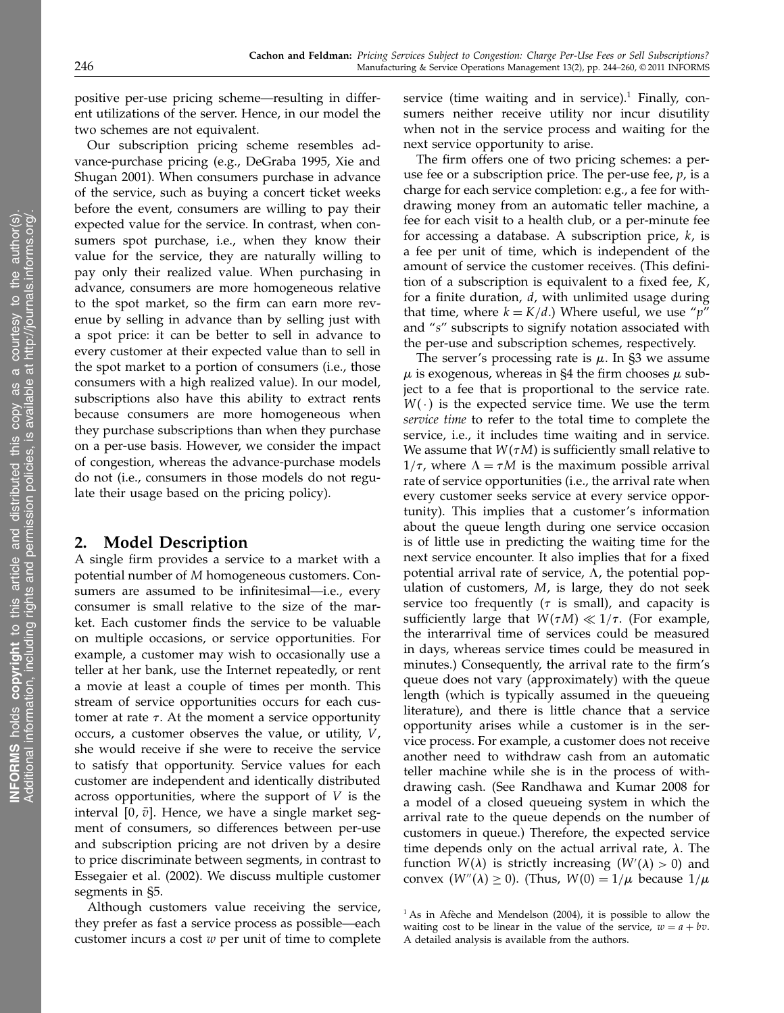positive per-use pricing scheme—resulting in different utilizations of the server. Hence, in our model the two schemes are not equivalent.

Our subscription pricing scheme resembles advance-purchase pricing (e.g., DeGraba 1995, Xie and Shugan 2001). When consumers purchase in advance of the service, such as buying a concert ticket weeks before the event, consumers are willing to pay their expected value for the service. In contrast, when consumers spot purchase, i.e., when they know their value for the service, they are naturally willing to pay only their realized value. When purchasing in advance, consumers are more homogeneous relative to the spot market, so the firm can earn more revenue by selling in advance than by selling just with a spot price: it can be better to sell in advance to every customer at their expected value than to sell in the spot market to a portion of consumers (i.e., those consumers with a high realized value). In our model, subscriptions also have this ability to extract rents because consumers are more homogeneous when they purchase subscriptions than when they purchase on a per-use basis. However, we consider the impact of congestion, whereas the advance-purchase models do not (i.e., consumers in those models do not regulate their usage based on the pricing policy).

# 2. Model Description

A single firm provides a service to a market with a potential number of M homogeneous customers. Consumers are assumed to be infinitesimal—i.e., every consumer is small relative to the size of the market. Each customer finds the service to be valuable on multiple occasions, or service opportunities. For example, a customer may wish to occasionally use a teller at her bank, use the Internet repeatedly, or rent a movie at least a couple of times per month. This stream of service opportunities occurs for each customer at rate  $\tau$ . At the moment a service opportunity occurs, a customer observes the value, or utility,  $V$ , she would receive if she were to receive the service to satisfy that opportunity. Service values for each customer are independent and identically distributed across opportunities, where the support of  $V$  is the interval  $[0, \bar{v}]$ . Hence, we have a single market segment of consumers, so differences between per-use and subscription pricing are not driven by a desire to price discriminate between segments, in contrast to Essegaier et al. (2002). We discuss multiple customer segments in §5.

Although customers value receiving the service, they prefer as fast a service process as possible—each customer incurs a cost  $w$  per unit of time to complete

service (time waiting and in service). $1$  Finally, consumers neither receive utility nor incur disutility when not in the service process and waiting for the next service opportunity to arise.

The firm offers one of two pricing schemes: a peruse fee or a subscription price. The per-use fee,  $p$ , is a charge for each service completion: e.g., a fee for withdrawing money from an automatic teller machine, a fee for each visit to a health club, or a per-minute fee for accessing a database. A subscription price,  $k$ , is a fee per unit of time, which is independent of the amount of service the customer receives. (This definition of a subscription is equivalent to a fixed fee, K, for a finite duration,  $d$ , with unlimited usage during that time, where  $k = K/d$ .) Where useful, we use "p" and "s" subscripts to signify notation associated with the per-use and subscription schemes, respectively.

The server's processing rate is  $\mu$ . In §3 we assume  $\mu$  is exogenous, whereas in §4 the firm chooses  $\mu$  subject to a fee that is proportional to the service rate.  $W(\cdot)$  is the expected service time. We use the term service time to refer to the total time to complete the service, i.e., it includes time waiting and in service. We assume that  $W(\tau M)$  is sufficiently small relative to  $1/\tau$ , where  $\Lambda = \tau M$  is the maximum possible arrival rate of service opportunities (i.e., the arrival rate when every customer seeks service at every service opportunity). This implies that a customer's information about the queue length during one service occasion is of little use in predicting the waiting time for the next service encounter. It also implies that for a fixed potential arrival rate of service,  $\Lambda$ , the potential population of customers, M, is large, they do not seek service too frequently ( $\tau$  is small), and capacity is sufficiently large that  $W(\tau M) \ll 1/\tau$ . (For example, the interarrival time of services could be measured in days, whereas service times could be measured in minutes.) Consequently, the arrival rate to the firm's queue does not vary (approximately) with the queue length (which is typically assumed in the queueing literature), and there is little chance that a service opportunity arises while a customer is in the service process. For example, a customer does not receive another need to withdraw cash from an automatic teller machine while she is in the process of withdrawing cash. (See Randhawa and Kumar 2008 for a model of a closed queueing system in which the arrival rate to the queue depends on the number of customers in queue.) Therefore, the expected service time depends only on the actual arrival rate,  $\lambda$ . The function  $W(\lambda)$  is strictly increasing  $(W'(\lambda) > 0)$  and convex  $(W''(\lambda) \ge 0)$ . (Thus,  $W(0) = 1/\mu$  because  $1/\mu$ 

 $1$ As in Afèche and Mendelson (2004), it is possible to allow the waiting cost to be linear in the value of the service,  $w = a + bv$ . A detailed analysis is available from the authors.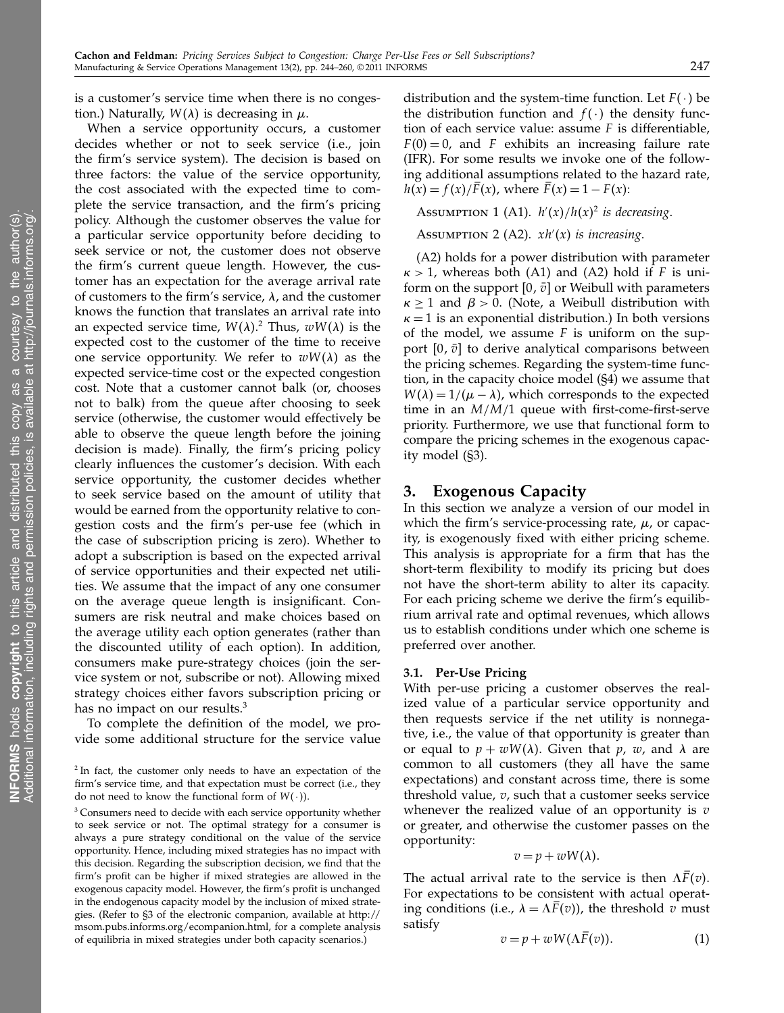is a customer's service time when there is no congestion.) Naturally,  $W(\lambda)$  is decreasing in  $\mu$ .

When a service opportunity occurs, a customer decides whether or not to seek service (i.e., join the firm's service system). The decision is based on three factors: the value of the service opportunity, the cost associated with the expected time to complete the service transaction, and the firm's pricing policy. Although the customer observes the value for a particular service opportunity before deciding to seek service or not, the customer does not observe the firm's current queue length. However, the customer has an expectation for the average arrival rate of customers to the firm's service,  $\lambda$ , and the customer knows the function that translates an arrival rate into an expected service time,  $W(\lambda)$ .<sup>2</sup> Thus,  $wW(\lambda)$  is the expected cost to the customer of the time to receive one service opportunity. We refer to  $wW(\lambda)$  as the expected service-time cost or the expected congestion cost. Note that a customer cannot balk (or, chooses not to balk) from the queue after choosing to seek service (otherwise, the customer would effectively be able to observe the queue length before the joining decision is made). Finally, the firm's pricing policy clearly influences the customer's decision. With each service opportunity, the customer decides whether to seek service based on the amount of utility that would be earned from the opportunity relative to congestion costs and the firm's per-use fee (which in the case of subscription pricing is zero). Whether to adopt a subscription is based on the expected arrival of service opportunities and their expected net utilities. We assume that the impact of any one consumer on the average queue length is insignificant. Consumers are risk neutral and make choices based on the average utility each option generates (rather than the discounted utility of each option). In addition, consumers make pure-strategy choices (join the service system or not, subscribe or not). Allowing mixed strategy choices either favors subscription pricing or has no impact on our results.<sup>3</sup>

To complete the definition of the model, we provide some additional structure for the service value

<sup>3</sup> Consumers need to decide with each service opportunity whether to seek service or not. The optimal strategy for a consumer is always a pure strategy conditional on the value of the service opportunity. Hence, including mixed strategies has no impact with this decision. Regarding the subscription decision, we find that the firm's profit can be higher if mixed strategies are allowed in the exogenous capacity model. However, the firm's profit is unchanged in the endogenous capacity model by the inclusion of mixed strategies. (Refer to §3 of the electronic companion, available at http:// msom.pubs.informs.org/ecompanion.html, for a complete analysis of equilibria in mixed strategies under both capacity scenarios.)

distribution and the system-time function. Let  $F(\cdot)$  be the distribution function and  $f(\cdot)$  the density function of each service value: assume F is differentiable,  $F(0) = 0$ , and F exhibits an increasing failure rate (IFR). For some results we invoke one of the following additional assumptions related to the hazard rate,  $h(x) = f(x)/F(x)$ , where  $F(x) = 1 - F(x)$ :

ASSUMPTION 1 (A1).  $h'(x)/h(x)^2$  is decreasing.

ASSUMPTION 2 (A2).  $xh'(x)$  is increasing.

(A2) holds for a power distribution with parameter  $\kappa > 1$ , whereas both (A1) and (A2) hold if F is uniform on the support  $[0, \bar{v}]$  or Weibull with parameters  $\kappa \geq 1$  and  $\beta > 0$ . (Note, a Weibull distribution with  $\kappa = 1$  is an exponential distribution.) In both versions of the model, we assume  $F$  is uniform on the support  $[0, \bar{v}]$  to derive analytical comparisons between the pricing schemes. Regarding the system-time function, in the capacity choice model (§4) we assume that  $W(\lambda) = 1/(\mu - \lambda)$ , which corresponds to the expected time in an  $M/M/1$  queue with first-come-first-serve priority. Furthermore, we use that functional form to compare the pricing schemes in the exogenous capacity model (§3).

# 3. Exogenous Capacity

In this section we analyze a version of our model in which the firm's service-processing rate,  $\mu$ , or capacity, is exogenously fixed with either pricing scheme. This analysis is appropriate for a firm that has the short-term flexibility to modify its pricing but does not have the short-term ability to alter its capacity. For each pricing scheme we derive the firm's equilibrium arrival rate and optimal revenues, which allows us to establish conditions under which one scheme is preferred over another.

#### 3.1. Per-Use Pricing

With per-use pricing a customer observes the realized value of a particular service opportunity and then requests service if the net utility is nonnegative, i.e., the value of that opportunity is greater than or equal to  $p + wW(\lambda)$ . Given that p, w, and  $\lambda$  are common to all customers (they all have the same expectations) and constant across time, there is some threshold value,  $v$ , such that a customer seeks service whenever the realized value of an opportunity is  $v$ or greater, and otherwise the customer passes on the opportunity:

$$
v=p+wW(\lambda).
$$

The actual arrival rate to the service is then  $\Lambda F(v)$ . For expectations to be consistent with actual operating conditions (i.e.,  $\lambda = \Lambda F(v)$ ), the threshold v must satisfy

$$
v = p + wW(\Lambda F(v)).
$$
 (1)

<sup>&</sup>lt;sup>2</sup> In fact, the customer only needs to have an expectation of the firm's service time, and that expectation must be correct (i.e., they do not need to know the functional form of  $W(·)$ ).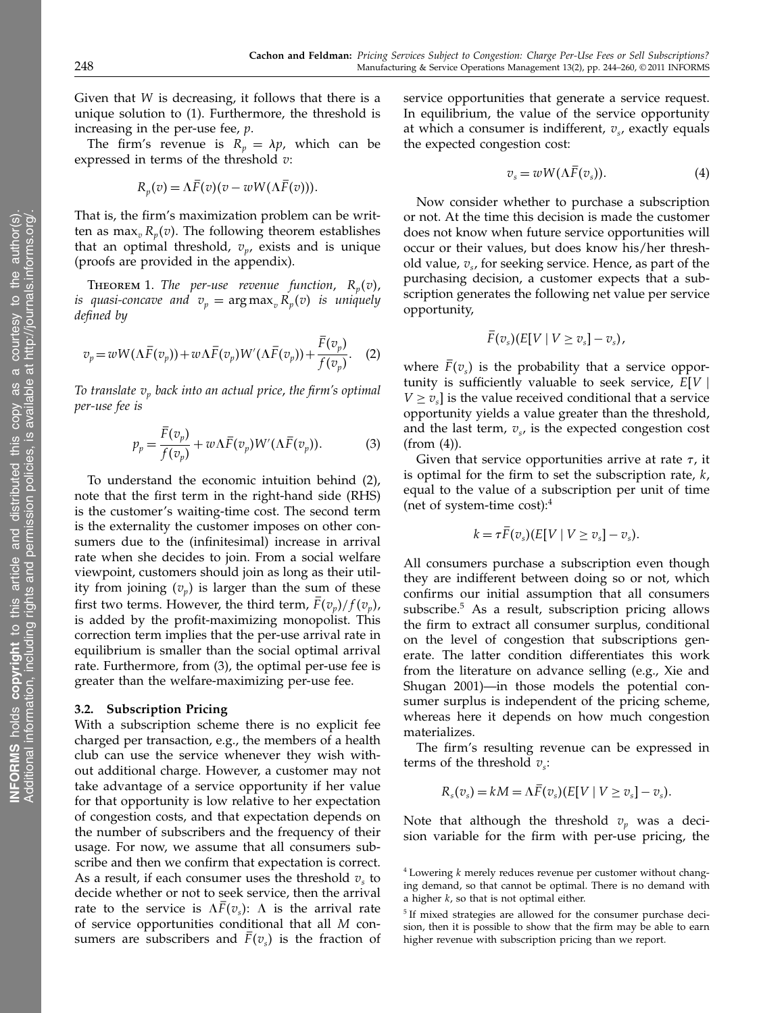Given that W is decreasing, it follows that there is a unique solution to (1). Furthermore, the threshold is increasing in the per-use fee,  $p$ .

The firm's revenue is  $R_p = \lambda p$ , which can be expressed in terms of the threshold  $v$ :

$$
R_p(v) = \Lambda F(v)(v - wW(\Lambda F(v))).
$$

That is, the firm's maximization problem can be written as max<sub>v</sub> $R_n(v)$ . The following theorem establishes that an optimal threshold,  $v_p$ , exists and is unique (proofs are provided in the appendix).

**THEOREM 1.** The per-use revenue function,  $R_n(v)$ , is quasi-concave and  $v_p = \argmax_p R_p(v)$  is uniquely defined by

$$
v_p = wW(\Lambda \overline{F}(v_p)) + w\Lambda \overline{F}(v_p)W'(\Lambda \overline{F}(v_p)) + \frac{\overline{F}(v_p)}{f(v_p)}.
$$
 (2)

To translate  $v_p$  back into an actual price, the firm's optimal per-use fee is

$$
p_p = \frac{\bar{F}(v_p)}{f(v_p)} + w\Lambda \bar{F}(v_p)W'(\Lambda \bar{F}(v_p)).
$$
 (3)

To understand the economic intuition behind (2), note that the first term in the right-hand side (RHS) is the customer's waiting-time cost. The second term is the externality the customer imposes on other consumers due to the (infinitesimal) increase in arrival rate when she decides to join. From a social welfare viewpoint, customers should join as long as their utility from joining  $(v_p)$  is larger than the sum of these first two terms. However, the third term,  $\bar{F}(v_p)/f(v_p)$ , is added by the profit-maximizing monopolist. This correction term implies that the per-use arrival rate in equilibrium is smaller than the social optimal arrival rate. Furthermore, from (3), the optimal per-use fee is greater than the welfare-maximizing per-use fee.

#### 3.2. Subscription Pricing

With a subscription scheme there is no explicit fee charged per transaction, e.g., the members of a health club can use the service whenever they wish without additional charge. However, a customer may not take advantage of a service opportunity if her value for that opportunity is low relative to her expectation of congestion costs, and that expectation depends on the number of subscribers and the frequency of their usage. For now, we assume that all consumers subscribe and then we confirm that expectation is correct. As a result, if each consumer uses the threshold  $v<sub>s</sub>$  to decide whether or not to seek service, then the arrival rate to the service is  $\Lambda \bar{F}(v_s)$ :  $\Lambda$  is the arrival rate of service opportunities conditional that all M consumers are subscribers and  $F(v_s)$  is the fraction of

service opportunities that generate a service request. In equilibrium, the value of the service opportunity at which a consumer is indifferent,  $v_s$ , exactly equals the expected congestion cost:

$$
v_s = wW(\Lambda F(v_s)). \tag{4}
$$

Now consider whether to purchase a subscription or not. At the time this decision is made the customer does not know when future service opportunities will occur or their values, but does know his/her threshold value,  $v_s$ , for seeking service. Hence, as part of the purchasing decision, a customer expects that a subscription generates the following net value per service opportunity,

$$
\overline{F}(v_s)(E[V \mid V \ge v_s] - v_s),
$$

where  $F(v_s)$  is the probability that a service opportunity is sufficiently valuable to seek service,  $E[V \mid$  $V \geq v_s$  is the value received conditional that a service opportunity yields a value greater than the threshold, and the last term,  $v_s$ , is the expected congestion cost (from (4)).

Given that service opportunities arrive at rate  $\tau$ , it is optimal for the firm to set the subscription rate,  $k$ , equal to the value of a subscription per unit of time (net of system-time cost):4

$$
k = \tau F(v_s)(E[V \mid V \ge v_s] - v_s).
$$

All consumers purchase a subscription even though they are indifferent between doing so or not, which confirms our initial assumption that all consumers subscribe.<sup>5</sup> As a result, subscription pricing allows the firm to extract all consumer surplus, conditional on the level of congestion that subscriptions generate. The latter condition differentiates this work from the literature on advance selling (e.g., Xie and Shugan 2001)—in those models the potential consumer surplus is independent of the pricing scheme, whereas here it depends on how much congestion materializes.

The firm's resulting revenue can be expressed in terms of the threshold  $v_s$ :

$$
R_s(v_s) = kM = \Lambda F(v_s)(E[V \mid V \ge v_s] - v_s).
$$

Note that although the threshold  $v_p$  was a decision variable for the firm with per-use pricing, the

 $4$  Lowering  $k$  merely reduces revenue per customer without changing demand, so that cannot be optimal. There is no demand with a higher  $k$ , so that is not optimal either.

<sup>&</sup>lt;sup>5</sup> If mixed strategies are allowed for the consumer purchase decision, then it is possible to show that the firm may be able to earn higher revenue with subscription pricing than we report.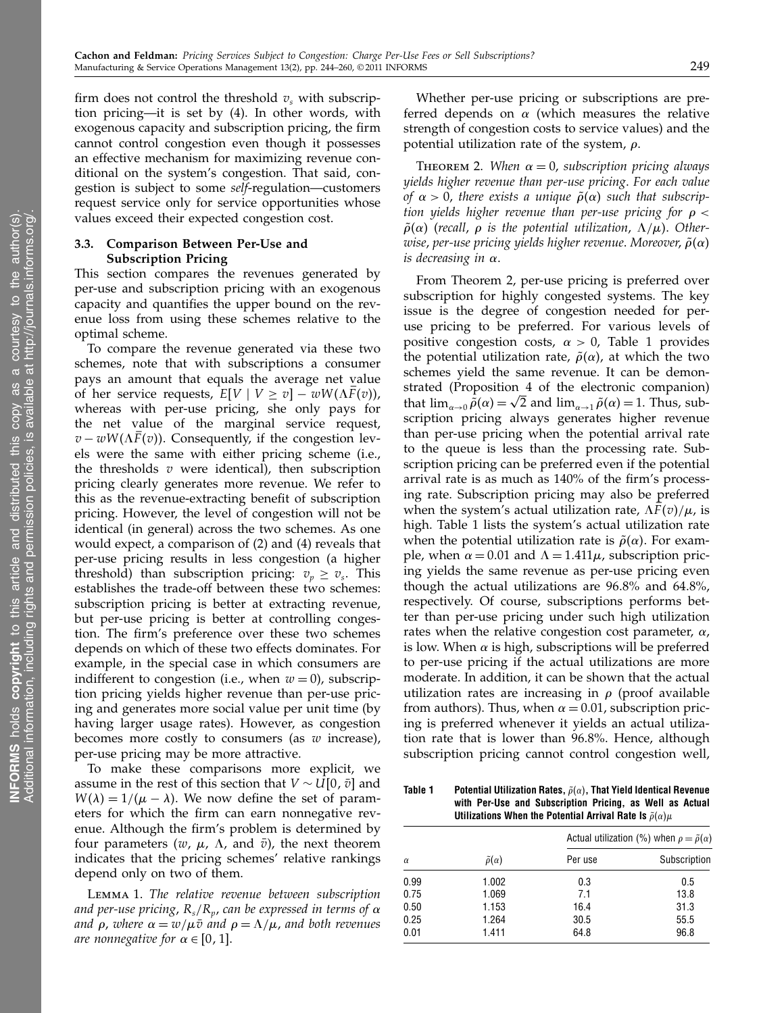firm does not control the threshold  $v<sub>s</sub>$  with subscription pricing—it is set by (4). In other words, with exogenous capacity and subscription pricing, the firm cannot control congestion even though it possesses an effective mechanism for maximizing revenue conditional on the system's congestion. That said, congestion is subject to some self-regulation—customers request service only for service opportunities whose values exceed their expected congestion cost.

#### 3.3. Comparison Between Per-Use and Subscription Pricing

This section compares the revenues generated by per-use and subscription pricing with an exogenous capacity and quantifies the upper bound on the revenue loss from using these schemes relative to the optimal scheme.

To compare the revenue generated via these two schemes, note that with subscriptions a consumer pays an amount that equals the average net value of her service requests,  $E[V \mid V \ge v] - wW(\Lambda F(v)),$ whereas with per-use pricing, she only pays for the net value of the marginal service request,  $v - wW(\Lambda F(v))$ . Consequently, if the congestion levels were the same with either pricing scheme (i.e., the thresholds  $v$  were identical), then subscription pricing clearly generates more revenue. We refer to this as the revenue-extracting benefit of subscription pricing. However, the level of congestion will not be identical (in general) across the two schemes. As one would expect, a comparison of (2) and (4) reveals that per-use pricing results in less congestion (a higher threshold) than subscription pricing:  $v_p \ge v_s$ . This establishes the trade-off between these two schemes: subscription pricing is better at extracting revenue, but per-use pricing is better at controlling congestion. The firm's preference over these two schemes depends on which of these two effects dominates. For example, in the special case in which consumers are indifferent to congestion (i.e., when  $w = 0$ ), subscription pricing yields higher revenue than per-use pricing and generates more social value per unit time (by having larger usage rates). However, as congestion becomes more costly to consumers (as  $w$  increase), per-use pricing may be more attractive.

To make these comparisons more explicit, we assume in the rest of this section that  $V \sim U[0, \bar{v}]$  and  $W(\lambda) = 1/(\mu - \lambda)$ . We now define the set of parameters for which the firm can earn nonnegative revenue. Although the firm's problem is determined by four parameters (w,  $\mu$ ,  $\Lambda$ , and  $\bar{v}$ ), the next theorem indicates that the pricing schemes' relative rankings depend only on two of them.

Lemma 1. The relative revenue between subscription and per-use pricing,  $R_s/R_p$ , can be expressed in terms of  $\alpha$ and  $\rho$ , where  $\alpha = w/\mu \bar{v}$  and  $\rho = \Lambda/\mu$ , and both revenues are nonnegative for  $\alpha \in [0, 1]$ .

Whether per-use pricing or subscriptions are preferred depends on  $\alpha$  (which measures the relative strength of congestion costs to service values) and the potential utilization rate of the system,  $\rho$ .

THEOREM 2. When  $\alpha = 0$ , subscription pricing always yields higher revenue than per-use pricing. For each value of  $\alpha > 0$ , there exists a unique  $\tilde{\rho}(\alpha)$  such that subscription yields higher revenue than per-use pricing for  $\rho <$  $\tilde{\rho}(\alpha)$  (recall,  $\rho$  is the potential utilization,  $\Lambda/\mu$ ). Otherwise, per-use pricing yields higher revenue. Moreover,  $\tilde{\rho}(\alpha)$ is decreasing in  $\alpha$ .

From Theorem 2, per-use pricing is preferred over subscription for highly congested systems. The key issue is the degree of congestion needed for peruse pricing to be preferred. For various levels of positive congestion costs,  $\alpha > 0$ , Table 1 provides the potential utilization rate,  $\tilde{\rho}(\alpha)$ , at which the two schemes yield the same revenue. It can be demonstrated (Proposition 4 of the electronic companion) that  $\lim_{\alpha\to 0} \tilde{\rho}(\alpha) = \sqrt{2}$  and  $\lim_{\alpha\to 1} \tilde{\rho}(\alpha) = 1$ . Thus, subscription pricing always generates higher revenue than per-use pricing when the potential arrival rate to the queue is less than the processing rate. Subscription pricing can be preferred even if the potential arrival rate is as much as 140% of the firm's processing rate. Subscription pricing may also be preferred when the system's actual utilization rate,  $\Delta F(v)/\mu$ , is high. Table 1 lists the system's actual utilization rate when the potential utilization rate is  $\tilde{\rho}(\alpha)$ . For example, when  $\alpha = 0.01$  and  $\Lambda = 1.411\mu$ , subscription pricing yields the same revenue as per-use pricing even though the actual utilizations are 96 8% and 64 8%, respectively. Of course, subscriptions performs better than per-use pricing under such high utilization rates when the relative congestion cost parameter,  $\alpha$ , is low. When  $\alpha$  is high, subscriptions will be preferred to per-use pricing if the actual utilizations are more moderate. In addition, it can be shown that the actual utilization rates are increasing in  $\rho$  (proof available from authors). Thus, when  $\alpha = 0.01$ , subscription pricing is preferred whenever it yields an actual utilization rate that is lower than 96 8%. Hence, although subscription pricing cannot control congestion well,

Table 1  $\;\;\;\;\;$  Potential Utilization Rates,  $\tilde{\rho}(\alpha)$ , That Yield Identical Revenue with Per-Use and Subscription Pricing, as Well as Actual Utilizations When the Potential Arrival Rate Is  $\tilde{\rho}(\alpha)\mu$ 

|          |                        | Actual utilization (%) when $\rho = \tilde{\rho}(\alpha)$ |              |  |  |
|----------|------------------------|-----------------------------------------------------------|--------------|--|--|
| $\alpha$ | $\tilde{\rho}(\alpha)$ | Per use                                                   | Subscription |  |  |
| 0.99     | 1.002                  | 0.3                                                       | 0.5          |  |  |
| 0.75     | 1.069                  | 7.1                                                       | 13.8         |  |  |
| 0.50     | 1.153                  | 16.4                                                      | 31.3         |  |  |
| 0.25     | 1.264                  | 30.5                                                      | 55.5         |  |  |
| 0.01     | 1.411                  | 64.8                                                      | 96.8         |  |  |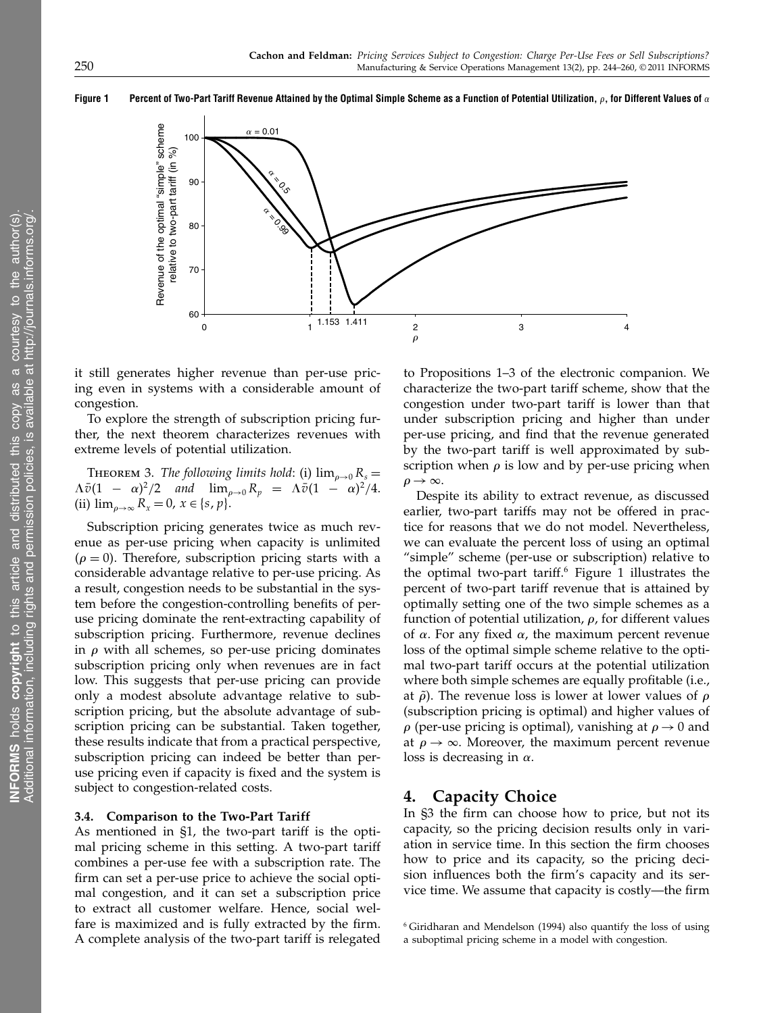Figure 1 Percent of Two-Part Tariff Revenue Attained by the Optimal Simple Scheme as a Function of Potential Utilization, -, for Different Values of



it still generates higher revenue than per-use pricing even in systems with a considerable amount of congestion.

To explore the strength of subscription pricing further, the next theorem characterizes revenues with extreme levels of potential utilization.

THEOREM 3. The following limits hold: (i)  $\lim_{\rho\to 0} R_s =$  $\Lambda \bar{\upsilon} (1 - \alpha)^2 / 2$  and  $\lim_{\rho \to 0} R_{\upsilon} = \Lambda \bar{\upsilon} (1 - \alpha)^2 / 4.$ (ii)  $\lim_{\rho\to\infty} R_x = 0, x \in \{s, p\}.$ 

Subscription pricing generates twice as much revenue as per-use pricing when capacity is unlimited  $(\rho = 0)$ . Therefore, subscription pricing starts with a considerable advantage relative to per-use pricing. As a result, congestion needs to be substantial in the system before the congestion-controlling benefits of peruse pricing dominate the rent-extracting capability of subscription pricing. Furthermore, revenue declines in  $\rho$  with all schemes, so per-use pricing dominates subscription pricing only when revenues are in fact low. This suggests that per-use pricing can provide only a modest absolute advantage relative to subscription pricing, but the absolute advantage of subscription pricing can be substantial. Taken together, these results indicate that from a practical perspective, subscription pricing can indeed be better than peruse pricing even if capacity is fixed and the system is subject to congestion-related costs.

#### 3.4. Comparison to the Two-Part Tariff

As mentioned in §1, the two-part tariff is the optimal pricing scheme in this setting. A two-part tariff combines a per-use fee with a subscription rate. The firm can set a per-use price to achieve the social optimal congestion, and it can set a subscription price to extract all customer welfare. Hence, social welfare is maximized and is fully extracted by the firm. A complete analysis of the two-part tariff is relegated

to Propositions 1–3 of the electronic companion. We characterize the two-part tariff scheme, show that the congestion under two-part tariff is lower than that under subscription pricing and higher than under per-use pricing, and find that the revenue generated by the two-part tariff is well approximated by subscription when  $\rho$  is low and by per-use pricing when  $\rho \rightarrow \infty$ .

Despite its ability to extract revenue, as discussed earlier, two-part tariffs may not be offered in practice for reasons that we do not model. Nevertheless, we can evaluate the percent loss of using an optimal "simple" scheme (per-use or subscription) relative to the optimal two-part tariff.<sup>6</sup> Figure 1 illustrates the percent of two-part tariff revenue that is attained by optimally setting one of the two simple schemes as a function of potential utilization,  $\rho$ , for different values of  $\alpha$ . For any fixed  $\alpha$ , the maximum percent revenue loss of the optimal simple scheme relative to the optimal two-part tariff occurs at the potential utilization where both simple schemes are equally profitable (i.e., at  $\tilde{\rho}$ ). The revenue loss is lower at lower values of  $\rho$ (subscription pricing is optimal) and higher values of  $\rho$  (per-use pricing is optimal), vanishing at  $\rho \rightarrow 0$  and at  $\rho \rightarrow \infty$ . Moreover, the maximum percent revenue loss is decreasing in  $\alpha$ .

# 4. Capacity Choice

In §3 the firm can choose how to price, but not its capacity, so the pricing decision results only in variation in service time. In this section the firm chooses how to price and its capacity, so the pricing decision influences both the firm's capacity and its service time. We assume that capacity is costly—the firm

<sup>6</sup> Giridharan and Mendelson (1994) also quantify the loss of using a suboptimal pricing scheme in a model with congestion.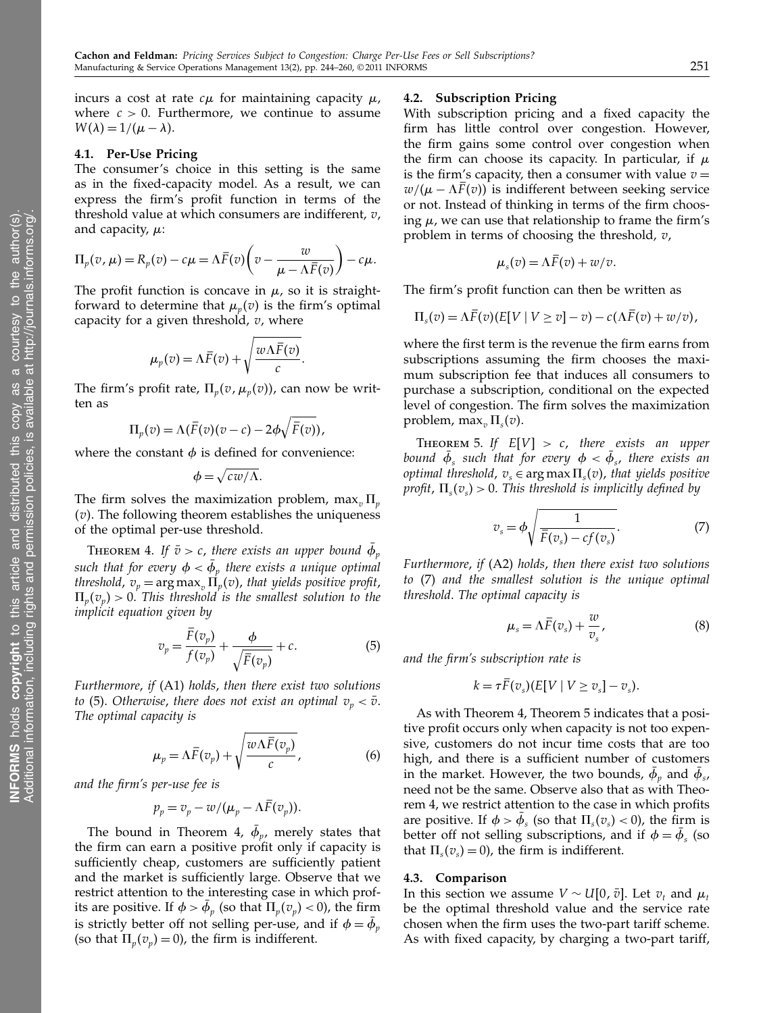incurs a cost at rate  $c\mu$  for maintaining capacity  $\mu$ , where  $c > 0$ . Furthermore, we continue to assume  $W(\lambda) = 1/(\mu - \lambda).$ 

#### 4.1. Per-Use Pricing

The consumer's choice in this setting is the same as in the fixed-capacity model. As a result, we can express the firm's profit function in terms of the threshold value at which consumers are indifferent,  $v$ , and capacity,  $\mu$ :

$$
\Pi_p(v,\mu) = R_p(v) - c\mu = \Lambda \bar{F}(v) \left(v - \frac{w}{\mu - \Lambda \bar{F}(v)}\right) - c\mu.
$$

The profit function is concave in  $\mu$ , so it is straightforward to determine that  $\mu_n(v)$  is the firm's optimal capacity for a given threshold,  $v$ , where

$$
\mu_p(v) = \Lambda \bar{F}(v) + \sqrt{\frac{w \Lambda \bar{F}(v)}{c}}.
$$

The firm's profit rate,  $\Pi_p(v, \mu_p(v))$ , can now be written as

$$
\Pi_p(v) = \Lambda(\bar{F}(v)(v-c) - 2\phi\sqrt{\bar{F}(v)}),
$$

where the constant  $\phi$  is defined for convenience:

$$
\phi = \sqrt{cw/\Lambda}.
$$

The firm solves the maximization problem, max<sub>v</sub>  $\Pi_{\nu}$  $(v)$ . The following theorem establishes the uniqueness of the optimal per-use threshold.

**THEOREM 4.** If  $\bar{v} > c$ , there exists an upper bound  $\bar{\phi}_p$ such that for every  $\phi < \phi_{_p}$  there exists a unique optimal threshold,  $v_p = \arg \max_{v} \prod_p(v)$ , that yields positive profit,  $\Pi_p(v_p) > 0$ . This threshold is the smallest solution to the implicit equation given by

$$
v_p = \frac{F(v_p)}{f(v_p)} + \frac{\phi}{\sqrt{\overline{F}(v_p)}} + c.
$$
 (5)

Furthermore, if (A1) holds, then there exist two solutions to (5). Otherwise, there does not exist an optimal  $v_p < \bar{v}$ . The optimal capacity is

$$
\mu_p = \Lambda \bar{F}(v_p) + \sqrt{\frac{w \Lambda \bar{F}(v_p)}{c}}, \qquad (6)
$$

and the firm's per-use fee is

$$
p_p = v_p - w/(\mu_p - \Lambda \overline{F}(v_p)).
$$

The bound in Theorem 4,  $\phi_p$ , merely states that the firm can earn a positive profit only if capacity is sufficiently cheap, customers are sufficiently patient and the market is sufficiently large. Observe that we restrict attention to the interesting case in which profits are positive. If  $\phi > \phi_p$  (so that  $\Pi_p(v_p) < 0$ ), the firm is strictly better off not selling per-use, and if  $\phi = \phi_p$ (so that  $\Pi_n(v_n) = 0$ ), the firm is indifferent.

#### 4.2. Subscription Pricing

With subscription pricing and a fixed capacity the firm has little control over congestion. However, the firm gains some control over congestion when the firm can choose its capacity. In particular, if  $\mu$ is the firm's capacity, then a consumer with value  $v =$  $w/(\mu - \Lambda F(v))$  is indifferent between seeking service or not. Instead of thinking in terms of the firm choosing  $\mu$ , we can use that relationship to frame the firm's problem in terms of choosing the threshold,  $v$ ,

$$
\mu_s(v) = \Lambda F(v) + w/v.
$$

The firm's profit function can then be written as

$$
\Pi_s(v) = \Lambda \overline{F}(v) (E[V \mid V \ge v] - v) - c(\Lambda \overline{F}(v) + w/v),
$$

where the first term is the revenue the firm earns from subscriptions assuming the firm chooses the maximum subscription fee that induces all consumers to purchase a subscription, conditional on the expected level of congestion. The firm solves the maximization problem, max<sub>v</sub> $\Pi_s(v)$ .

THEOREM 5. If  $E[V] > c$ , there exists an upper bound  $\phi_s$  such that for every  $\phi < \phi_s$ , there exists an optimal threshold,  $v_s \in \arg \max \Pi_s(v)$ , that yields positive profit,  $\Pi_s(v_s) > 0$ . This threshold is implicitly defined by

$$
v_s = \phi \sqrt{\frac{1}{\bar{F}(v_s) - cf(v_s)}}.
$$
 (7)

Furthermore, if (A2) holds, then there exist two solutions to (7) and the smallest solution is the unique optimal threshold. The optimal capacity is

$$
\mu_s = \Lambda \bar{F}(v_s) + \frac{w}{v_s},\tag{8}
$$

and the firm's subscription rate is

$$
k = \tau \overline{F}(v_s) (E[V \mid V \ge v_s] - v_s).
$$

As with Theorem 4, Theorem 5 indicates that a positive profit occurs only when capacity is not too expensive, customers do not incur time costs that are too high, and there is a sufficient number of customers in the market. However, the two bounds,  $\phi_p$  and  $\phi_s$ , need not be the same. Observe also that as with Theorem 4, we restrict attention to the case in which profits are positive. If  $\phi > \phi_s$  (so that  $\Pi_s(v_s) < 0$ ), the firm is better off not selling subscriptions, and if  $\phi = \phi_s$  (so that  $\Pi_s(v_s) = 0$ ), the firm is indifferent.

#### 4.3. Comparison

In this section we assume  $V \sim U[0, \bar{v}]$ . Let  $v_t$  and  $\mu_t$ be the optimal threshold value and the service rate chosen when the firm uses the two-part tariff scheme. As with fixed capacity, by charging a two-part tariff,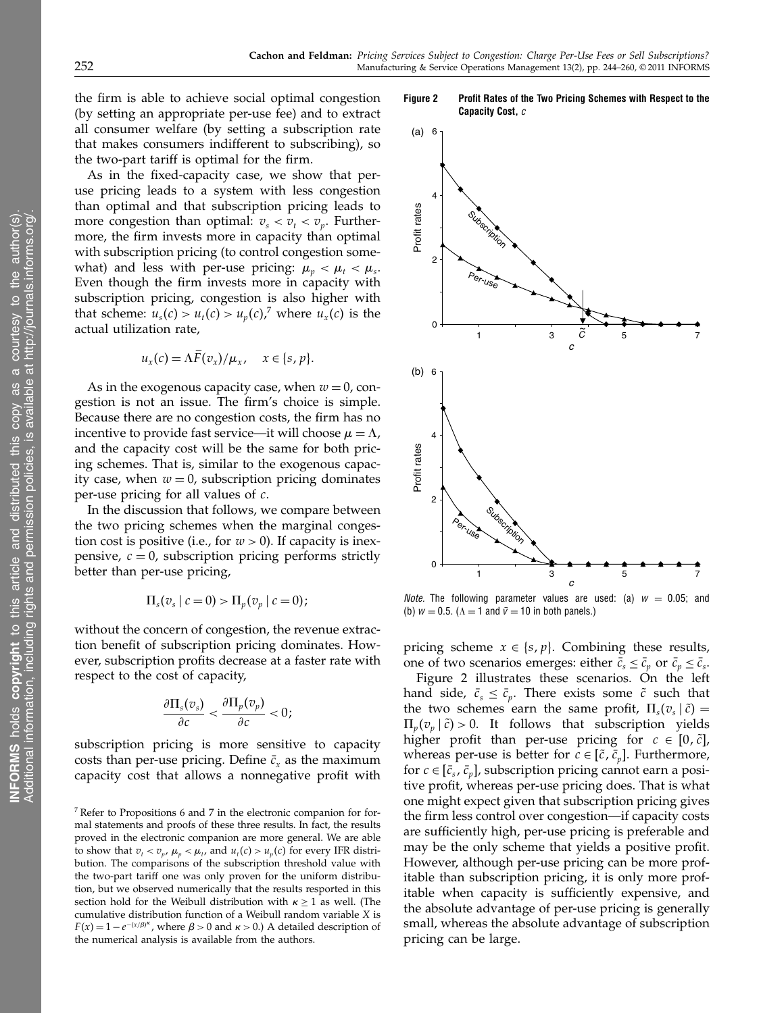the firm is able to achieve social optimal congestion (by setting an appropriate per-use fee) and to extract all consumer welfare (by setting a subscription rate that makes consumers indifferent to subscribing), so the two-part tariff is optimal for the firm.

As in the fixed-capacity case, we show that peruse pricing leads to a system with less congestion than optimal and that subscription pricing leads to more congestion than optimal:  $v_s < v_t < v_v$ . Furthermore, the firm invests more in capacity than optimal with subscription pricing (to control congestion somewhat) and less with per-use pricing:  $\mu_v < \mu_t < \mu_s$ . Even though the firm invests more in capacity with subscription pricing, congestion is also higher with that scheme:  $u_s(c) > u_t(c) > u_p(c)$ ,<sup>7</sup> where  $u_x(c)$  is the actual utilization rate,

$$
u_x(c) = \Lambda F(v_x)/\mu_x, \quad x \in \{s, p\}.
$$

As in the exogenous capacity case, when  $w = 0$ , congestion is not an issue. The firm's choice is simple. Because there are no congestion costs, the firm has no incentive to provide fast service—it will choose  $\mu = \Lambda$ , and the capacity cost will be the same for both pricing schemes. That is, similar to the exogenous capacity case, when  $w = 0$ , subscription pricing dominates per-use pricing for all values of  $c$ .

In the discussion that follows, we compare between the two pricing schemes when the marginal congestion cost is positive (i.e., for  $w > 0$ ). If capacity is inexpensive,  $c = 0$ , subscription pricing performs strictly better than per-use pricing,

$$
\Pi_s(v_s \mid c = 0) > \Pi_p(v_p \mid c = 0);
$$

without the concern of congestion, the revenue extraction benefit of subscription pricing dominates. However, subscription profits decrease at a faster rate with respect to the cost of capacity,

$$
\frac{\partial \Pi_s(v_s)}{\partial c} < \frac{\partial \Pi_p(v_p)}{\partial c} < 0;
$$

subscription pricing is more sensitive to capacity costs than per-use pricing. Define  $\bar{c}_x$  as the maximum capacity cost that allows a nonnegative profit with

Figure 2 Profit Rates of the Two Pricing Schemes with Respect to the Capacity Cost, c



*Note*. The following parameter values are used: (a)  $w = 0.05$ ; and (b)  $w = 0.5$ . ( $\Lambda = 1$  and  $\bar{v} = 10$  in both panels.)

pricing scheme  $x \in \{s, p\}$ . Combining these results, one of two scenarios emerges: either  $\bar{c}_s \leq \bar{c}_p$  or  $\bar{c}_p \leq \bar{c}_s$ .

Figure 2 illustrates these scenarios. On the left hand side,  $\bar{c}_s \leq \bar{c}_p$ . There exists some  $\tilde{c}$  such that the two schemes earn the same profit,  $\Pi_s(v_s|\tilde{c}) =$  $\Pi_p(v_p | \tilde{c}) > 0$ . It follows that subscription yields higher profit than per-use pricing for  $c \in [0, \tilde{c}]$ , whereas per-use is better for  $c \in [\tilde{c}, \bar{c}_n]$ . Furthermore, for  $c \in [\bar{c}_s, \bar{c}_p]$ , subscription pricing cannot earn a positive profit, whereas per-use pricing does. That is what one might expect given that subscription pricing gives the firm less control over congestion—if capacity costs are sufficiently high, per-use pricing is preferable and may be the only scheme that yields a positive profit. However, although per-use pricing can be more profitable than subscription pricing, it is only more profitable when capacity is sufficiently expensive, and the absolute advantage of per-use pricing is generally small, whereas the absolute advantage of subscription pricing can be large.

<sup>7</sup> Refer to Propositions 6 and 7 in the electronic companion for formal statements and proofs of these three results. In fact, the results proved in the electronic companion are more general. We are able to show that  $v_t < v_p$ ,  $\mu_p < \mu_t$ , and  $u_t(c) > u_p(c)$  for every IFR distribution. The comparisons of the subscription threshold value with the two-part tariff one was only proven for the uniform distribution, but we observed numerically that the results resported in this section hold for the Weibull distribution with  $\kappa \geq 1$  as well. (The cumulative distribution function of a Weibull random variable X is  $F(x) = 1 - e^{-(x/\beta)^{\kappa}}$ , where  $\beta > 0$  and  $\kappa > 0$ .) A detailed description of the numerical analysis is available from the authors.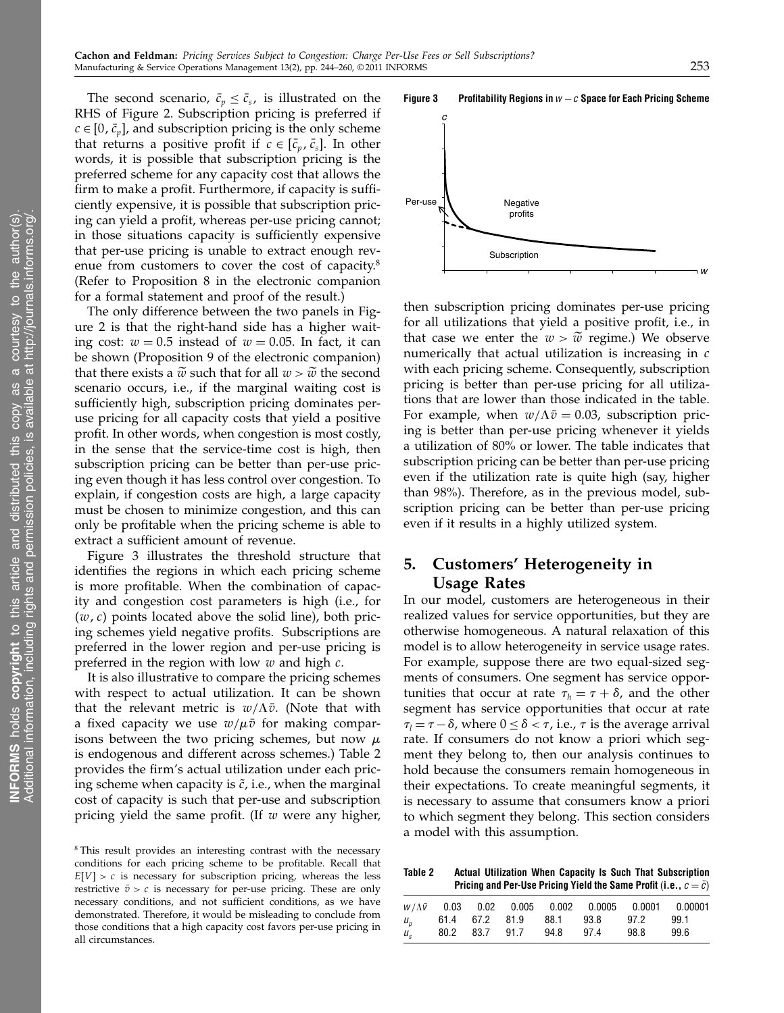The second scenario,  $\bar{c}_p \leq \bar{c}_s$ , is illustrated on the RHS of Figure 2. Subscription pricing is preferred if  $c \in [0, \bar{c}_n]$ , and subscription pricing is the only scheme that returns a positive profit if  $c \in [\bar{c}_n, \bar{c}_s]$ . In other words, it is possible that subscription pricing is the preferred scheme for any capacity cost that allows the firm to make a profit. Furthermore, if capacity is sufficiently expensive, it is possible that subscription pricing can yield a profit, whereas per-use pricing cannot; in those situations capacity is sufficiently expensive that per-use pricing is unable to extract enough revenue from customers to cover the cost of capacity.<sup>8</sup> (Refer to Proposition 8 in the electronic companion for a formal statement and proof of the result.)

The only difference between the two panels in Figure 2 is that the right-hand side has a higher waiting cost:  $w = 0.5$  instead of  $w = 0.05$ . In fact, it can be shown (Proposition 9 of the electronic companion) that there exists a  $\tilde{w}$  such that for all  $w > \tilde{w}$  the second scenario occurs, i.e., if the marginal waiting cost is sufficiently high, subscription pricing dominates peruse pricing for all capacity costs that yield a positive profit. In other words, when congestion is most costly, in the sense that the service-time cost is high, then subscription pricing can be better than per-use pricing even though it has less control over congestion. To explain, if congestion costs are high, a large capacity must be chosen to minimize congestion, and this can only be profitable when the pricing scheme is able to extract a sufficient amount of revenue.

Figure 3 illustrates the threshold structure that identifies the regions in which each pricing scheme is more profitable. When the combination of capacity and congestion cost parameters is high (i.e., for  $(w, c)$  points located above the solid line), both pricing schemes yield negative profits. Subscriptions are preferred in the lower region and per-use pricing is preferred in the region with low  $w$  and high  $c$ .

It is also illustrative to compare the pricing schemes with respect to actual utilization. It can be shown that the relevant metric is  $w/\Lambda \bar{v}$ . (Note that with a fixed capacity we use  $w/\mu\bar{v}$  for making comparisons between the two pricing schemes, but now  $\mu$ is endogenous and different across schemes.) Table 2 provides the firm's actual utilization under each pricing scheme when capacity is  $\tilde{c}$ , i.e., when the marginal cost of capacity is such that per-use and subscription pricing yield the same profit. (If  $w$  were any higher,



then subscription pricing dominates per-use pricing for all utilizations that yield a positive profit, i.e., in that case we enter the  $w > \tilde{w}$  regime.) We observe numerically that actual utilization is increasing in c with each pricing scheme. Consequently, subscription pricing is better than per-use pricing for all utilizations that are lower than those indicated in the table. For example, when  $w/\Lambda \bar{v} = 0.03$ , subscription pricing is better than per-use pricing whenever it yields a utilization of 80% or lower. The table indicates that subscription pricing can be better than per-use pricing even if the utilization rate is quite high (say, higher than 98%). Therefore, as in the previous model, subscription pricing can be better than per-use pricing even if it results in a highly utilized system.

# 5. Customers' Heterogeneity in Usage Rates

In our model, customers are heterogeneous in their realized values for service opportunities, but they are otherwise homogeneous. A natural relaxation of this model is to allow heterogeneity in service usage rates. For example, suppose there are two equal-sized segments of consumers. One segment has service opportunities that occur at rate  $\tau_h = \tau + \delta$ , and the other segment has service opportunities that occur at rate  $\tau_l = \tau - \delta$ , where  $0 \leq \delta < \tau$ , i.e.,  $\tau$  is the average arrival rate. If consumers do not know a priori which segment they belong to, then our analysis continues to hold because the consumers remain homogeneous in their expectations. To create meaningful segments, it is necessary to assume that consumers know a priori to which segment they belong. This section considers a model with this assumption.

Table 2 Actual Utilization When Capacity Is Such That Subscription Pricing and Per-Use Pricing Yield the Same Profit (i.e.,  $c = \tilde{c}$ )

|             |  |                          |                                     |      | $W/\Lambda\bar{V}$ 0.03 0.02 0.005 0.002 0.0005 0.0001 0.00001 |
|-------------|--|--------------------------|-------------------------------------|------|----------------------------------------------------------------|
|             |  |                          | $u_p$ 61.4 67.2 81.9 88.1 93.8 97.2 |      | 99.1                                                           |
| $U_{\rm c}$ |  | 80.2 83.7 91.7 94.8 97.4 |                                     | 98.8 | 99.6                                                           |



<sup>&</sup>lt;sup>8</sup>This result provides an interesting contrast with the necessary conditions for each pricing scheme to be profitable. Recall that  $E[V] > c$  is necessary for subscription pricing, whereas the less restrictive  $\bar{v} > c$  is necessary for per-use pricing. These are only necessary conditions, and not sufficient conditions, as we have demonstrated. Therefore, it would be misleading to conclude from those conditions that a high capacity cost favors per-use pricing in all circumstances.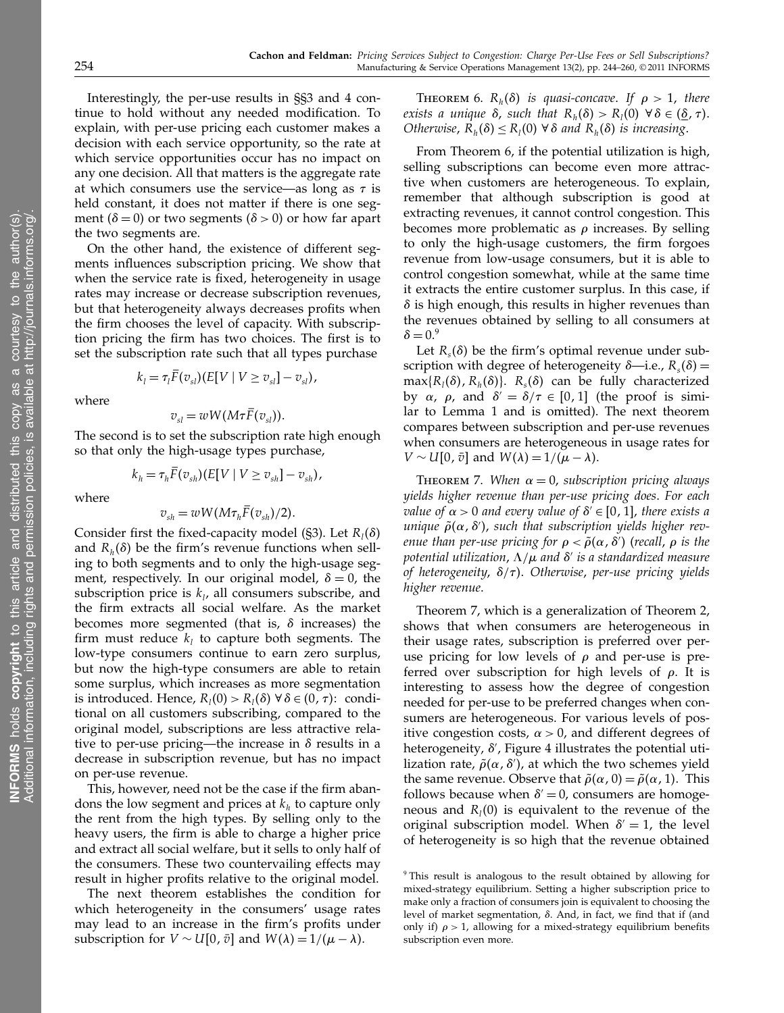Interestingly, the per-use results in §§3 and 4 continue to hold without any needed modification. To explain, with per-use pricing each customer makes a decision with each service opportunity, so the rate at which service opportunities occur has no impact on any one decision. All that matters is the aggregate rate at which consumers use the service—as long as  $\tau$  is held constant, it does not matter if there is one segment ( $\delta = 0$ ) or two segments ( $\delta > 0$ ) or how far apart the two segments are.

On the other hand, the existence of different segments influences subscription pricing. We show that when the service rate is fixed, heterogeneity in usage rates may increase or decrease subscription revenues, but that heterogeneity always decreases profits when the firm chooses the level of capacity. With subscription pricing the firm has two choices. The first is to set the subscription rate such that all types purchase

$$
k_l = \tau_l F(v_{sl})(E[V \mid V \ge v_{sl}] - v_{sl}),
$$

where

$$
v_{sl} = wW(M\tau F(v_{sl})).
$$

The second is to set the subscription rate high enough so that only the high-usage types purchase,

$$
k_h = \tau_h \overline{F}(v_{sh}) (E[V \mid V \ge v_{sh}] - v_{sh}),
$$

where

$$
v_{sh} = wW(M\tau_h \overline{F}(v_{sh})/2).
$$

Consider first the fixed-capacity model (§3). Let  $R_1(\delta)$ and  $R_h(\delta)$  be the firm's revenue functions when selling to both segments and to only the high-usage segment, respectively. In our original model,  $\delta = 0$ , the subscription price is  $k_l$ , all consumers subscribe, and the firm extracts all social welfare. As the market becomes more segmented (that is,  $\delta$  increases) the firm must reduce  $k_l$  to capture both segments. The low-type consumers continue to earn zero surplus, but now the high-type consumers are able to retain some surplus, which increases as more segmentation is introduced. Hence,  $R_l(0) > R_l(\delta) \,\forall \,\delta \in (0, \tau)$ : conditional on all customers subscribing, compared to the original model, subscriptions are less attractive relative to per-use pricing—the increase in  $\delta$  results in a decrease in subscription revenue, but has no impact on per-use revenue.

This, however, need not be the case if the firm abandons the low segment and prices at  $k<sub>h</sub>$  to capture only the rent from the high types. By selling only to the heavy users, the firm is able to charge a higher price and extract all social welfare, but it sells to only half of the consumers. These two countervailing effects may result in higher profits relative to the original model.

The next theorem establishes the condition for which heterogeneity in the consumers' usage rates may lead to an increase in the firm's profits under subscription for  $V \sim U[0, \bar{v}]$  and  $W(\lambda) = 1/(\mu - \lambda)$ .

THEOREM 6.  $R_h(\delta)$  is quasi-concave. If  $\rho > 1$ , there exists a unique  $\delta$ , such that  $R_h(\delta) > R_l(0) \,\,\forall \,\delta \in (\underline{\delta}, \tau)$ . Otherwise,  $R_h(\delta) \le R_l(0)$   $\forall \delta$  and  $R_h(\delta)$  is increasing.

From Theorem 6, if the potential utilization is high, selling subscriptions can become even more attractive when customers are heterogeneous. To explain, remember that although subscription is good at extracting revenues, it cannot control congestion. This becomes more problematic as  $\rho$  increases. By selling to only the high-usage customers, the firm forgoes revenue from low-usage consumers, but it is able to control congestion somewhat, while at the same time it extracts the entire customer surplus. In this case, if  $\delta$  is high enough, this results in higher revenues than the revenues obtained by selling to all consumers at  $\delta = 0.9$ 

Let  $R<sub>s</sub>(\delta)$  be the firm's optimal revenue under subscription with degree of heterogeneity  $\delta$ —i.e.,  $R_s(\delta)$  =  $max{R<sub>i</sub>(\delta), R<sub>i</sub>(\delta)}$ .  $R<sub>s</sub>(\delta)$  can be fully characterized by  $\alpha$ ,  $\rho$ , and  $\delta' = \delta/\tau \in [0,1]$  (the proof is similar to Lemma 1 and is omitted). The next theorem compares between subscription and per-use revenues when consumers are heterogeneous in usage rates for  $V \sim U[0, \bar{v}]$  and  $W(\lambda) = 1/(\mu - \lambda)$ .

THEOREM 7. When  $\alpha = 0$ , subscription pricing always yields higher revenue than per-use pricing does. For each value of  $\alpha > 0$  and every value of  $\delta' \in [0, 1]$ , there exists a unique  $\tilde\rho(\alpha,\delta')$ , such that subscription yields higher revenue than per-use pricing for  $\rho<\tilde\rho(\alpha,\delta')$  (recall,  $\rho$  is the potential utilization,  $\Lambda/\mu$  and  $\delta'$  is a standardized measure of heterogeneity,  $\delta/\tau$ ). Otherwise, per-use pricing yields higher revenue.

Theorem 7, which is a generalization of Theorem 2, shows that when consumers are heterogeneous in their usage rates, subscription is preferred over peruse pricing for low levels of  $\rho$  and per-use is preferred over subscription for high levels of  $\rho$ . It is interesting to assess how the degree of congestion needed for per-use to be preferred changes when consumers are heterogeneous. For various levels of positive congestion costs,  $\alpha > 0$ , and different degrees of heterogeneity,  $\delta'$ , Figure 4 illustrates the potential utilization rate,  $\tilde{\rho}(\alpha, \delta')$ , at which the two schemes yield the same revenue. Observe that  $\tilde{\rho}(\alpha, 0) = \tilde{\rho}(\alpha, 1)$ . This follows because when  $\delta' = 0$ , consumers are homogeneous and  $R_1(0)$  is equivalent to the revenue of the original subscription model. When  $\delta' = 1$ , the level of heterogeneity is so high that the revenue obtained

<sup>9</sup> This result is analogous to the result obtained by allowing for mixed-strategy equilibrium. Setting a higher subscription price to make only a fraction of consumers join is equivalent to choosing the level of market segmentation,  $\delta$ . And, in fact, we find that if (and only if)  $\rho > 1$ , allowing for a mixed-strategy equilibrium benefits subscription even more.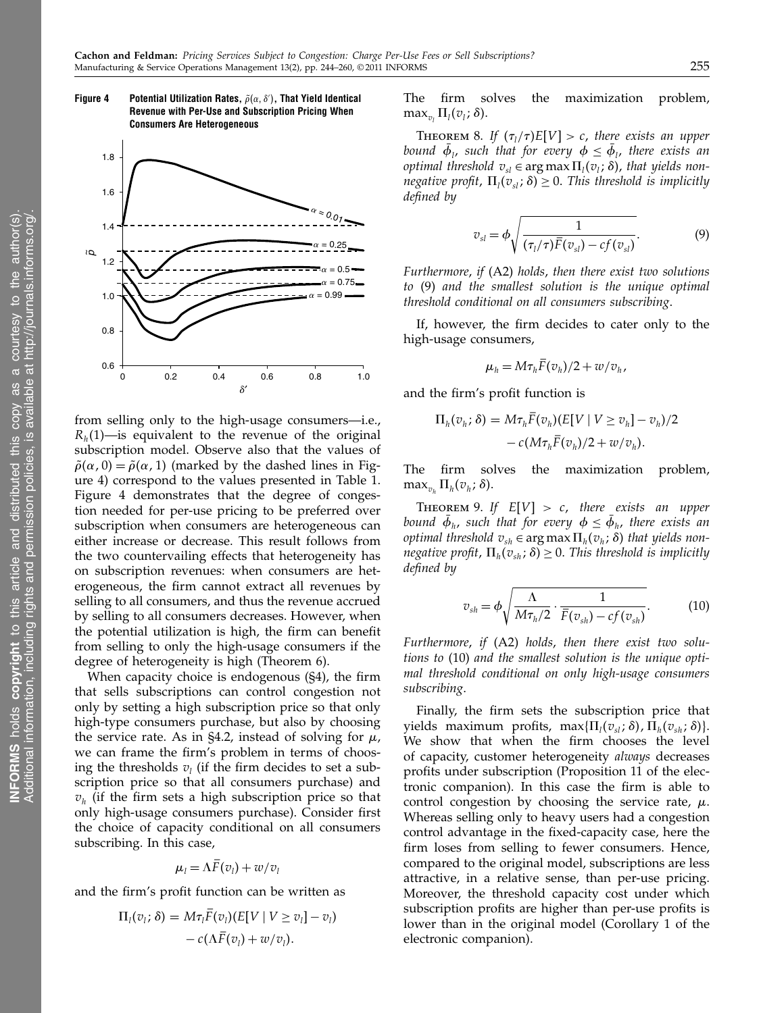

Figure 4  $\;\;\;\;\;$  Potential Utilization Rates,  $\tilde{\rho}(\alpha,\delta')$ , That Yield Identical Revenue with Per-Use and Subscription Pricing When

Consumers Are Heterogeneous

from selling only to the high-usage consumers—i.e.,  $R_h(1)$ —is equivalent to the revenue of the original subscription model. Observe also that the values of  $\tilde{\rho}(\alpha, 0) = \tilde{\rho}(\alpha, 1)$  (marked by the dashed lines in Figure 4) correspond to the values presented in Table 1. Figure 4 demonstrates that the degree of congestion needed for per-use pricing to be preferred over subscription when consumers are heterogeneous can either increase or decrease. This result follows from the two countervailing effects that heterogeneity has on subscription revenues: when consumers are heterogeneous, the firm cannot extract all revenues by selling to all consumers, and thus the revenue accrued by selling to all consumers decreases. However, when the potential utilization is high, the firm can benefit from selling to only the high-usage consumers if the degree of heterogeneity is high (Theorem 6).

When capacity choice is endogenous (§4), the firm that sells subscriptions can control congestion not only by setting a high subscription price so that only high-type consumers purchase, but also by choosing the service rate. As in §4.2, instead of solving for  $\mu$ , we can frame the firm's problem in terms of choosing the thresholds  $v_l$  (if the firm decides to set a subscription price so that all consumers purchase) and  $v<sub>h</sub>$  (if the firm sets a high subscription price so that only high-usage consumers purchase). Consider first the choice of capacity conditional on all consumers subscribing. In this case,

$$
\mu_l = \Lambda F(v_l) + w/v_l
$$

and the firm's profit function can be written as

$$
\Pi_l(v_l; \delta) = M\tau_l F(v_l)(E[V \mid V \ge v_l] - v_l)
$$
  
- 
$$
c(\Lambda \overline{F}(v_l) + w/v_l).
$$

The firm solves the maximization problem,  $\max_{v_l} \Pi_l(v_l; \delta)$ .

THEOREM 8. If  $(\tau_l/\tau)E[V] > c$ , there exists an upper bound  $\phi$ <sub>l</sub>, such that for every  $\phi \leq \phi$ <sub>l</sub>, there exists an *optimal threshold*  $v_{sl} \in \arg \max \Pi_l(v_l; \delta)$ , that yields nonnegative profit,  $\Pi_l(v_{sl}; \delta) \geq 0$ . This threshold is implicitly defined by

$$
v_{sl} = \phi \sqrt{\frac{1}{(\tau_l/\tau)\bar{F}(v_{sl}) - cf(v_{sl})}}.
$$
\n(9)

Furthermore, if (A2) holds, then there exist two solutions to (9) and the smallest solution is the unique optimal threshold conditional on all consumers subscribing.

If, however, the firm decides to cater only to the high-usage consumers,

$$
\mu_h = M \tau_h F(v_h)/2 + w/v_h,
$$

and the firm's profit function is

$$
\Pi_h(v_h; \delta) = M\tau_h F(v_h)(E[V \mid V \ge v_h] - v_h)/2
$$
  
-  $c(M\tau_h \overline{F}(v_h)/2 + w/v_h).$ 

The firm solves the maximization problem,  $\max_{v_h} \Pi_h(v_h; \delta)$ .

THEOREM 9. If  $E[V] > c$ , there exists an upper bound  $\phi_h$ , such that for every  $\phi \leq \phi_h$ , there exists an *optimal threshold*  $v_{sh} \in \arg \max \Pi_h(v_h; \delta)$  that yields nonnegative profit,  $\Pi_h(v_{sh}; \delta) \geq 0$ . This threshold is implicitly defined by

$$
v_{sh} = \phi \sqrt{\frac{\Lambda}{M \tau_h/2} \cdot \frac{1}{\bar{F}(v_{sh}) - cf(v_{sh})}}.
$$
 (10)

Furthermore, if (A2) holds, then there exist two solutions to (10) and the smallest solution is the unique optimal threshold conditional on only high-usage consumers subscribing.

Finally, the firm sets the subscription price that yields maximum profits, max $\{\Pi_i(v_{sl};\delta), \Pi_h(v_{sh};\delta)\}.$ We show that when the firm chooses the level of capacity, customer heterogeneity always decreases profits under subscription (Proposition 11 of the electronic companion). In this case the firm is able to control congestion by choosing the service rate,  $\mu$ . Whereas selling only to heavy users had a congestion control advantage in the fixed-capacity case, here the firm loses from selling to fewer consumers. Hence, compared to the original model, subscriptions are less attractive, in a relative sense, than per-use pricing. Moreover, the threshold capacity cost under which subscription profits are higher than per-use profits is lower than in the original model (Corollary 1 of the electronic companion).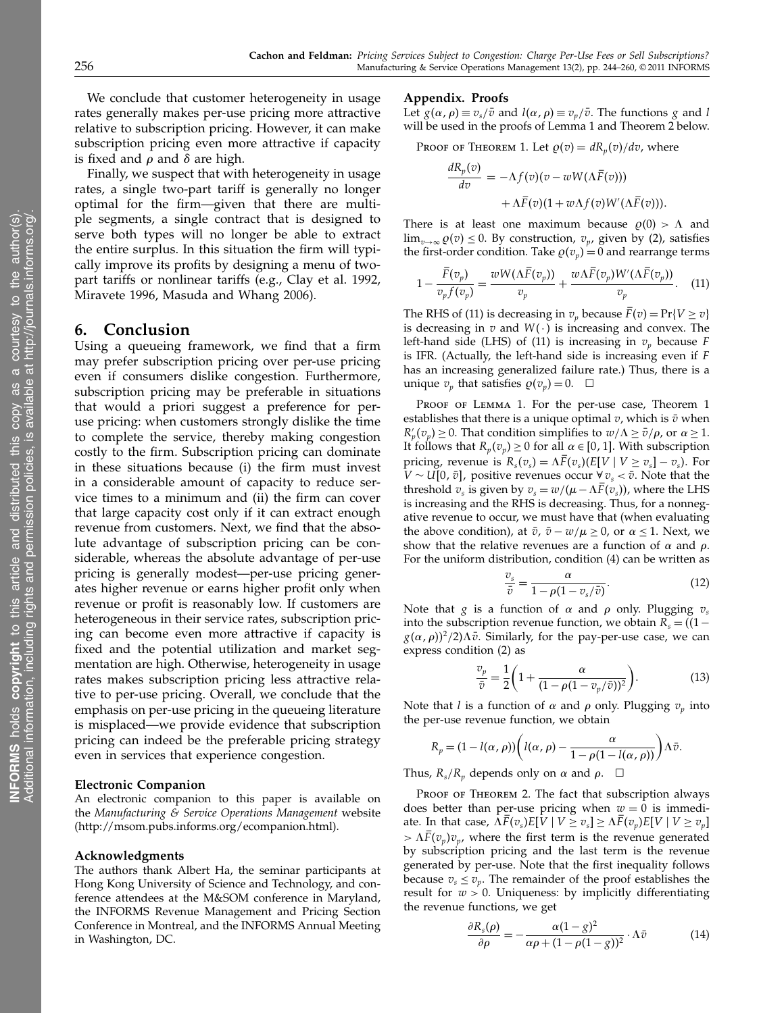We conclude that customer heterogeneity in usage rates generally makes per-use pricing more attractive relative to subscription pricing. However, it can make subscription pricing even more attractive if capacity is fixed and  $\rho$  and  $\delta$  are high.

Finally, we suspect that with heterogeneity in usage rates, a single two-part tariff is generally no longer optimal for the firm—given that there are multiple segments, a single contract that is designed to serve both types will no longer be able to extract the entire surplus. In this situation the firm will typically improve its profits by designing a menu of twopart tariffs or nonlinear tariffs (e.g., Clay et al. 1992, Miravete 1996, Masuda and Whang 2006).

# 6. Conclusion

Using a queueing framework, we find that a firm may prefer subscription pricing over per-use pricing even if consumers dislike congestion. Furthermore, subscription pricing may be preferable in situations that would a priori suggest a preference for peruse pricing: when customers strongly dislike the time to complete the service, thereby making congestion costly to the firm. Subscription pricing can dominate in these situations because (i) the firm must invest in a considerable amount of capacity to reduce service times to a minimum and (ii) the firm can cover that large capacity cost only if it can extract enough revenue from customers. Next, we find that the absolute advantage of subscription pricing can be considerable, whereas the absolute advantage of per-use pricing is generally modest—per-use pricing generates higher revenue or earns higher profit only when revenue or profit is reasonably low. If customers are heterogeneous in their service rates, subscription pricing can become even more attractive if capacity is fixed and the potential utilization and market segmentation are high. Otherwise, heterogeneity in usage rates makes subscription pricing less attractive relative to per-use pricing. Overall, we conclude that the emphasis on per-use pricing in the queueing literature is misplaced—we provide evidence that subscription pricing can indeed be the preferable pricing strategy even in services that experience congestion.

#### Electronic Companion

An electronic companion to this paper is available on the Manufacturing & Service Operations Management website (http://msom.pubs.informs.org/ecompanion.html).

#### Acknowledgments

The authors thank Albert Ha, the seminar participants at Hong Kong University of Science and Technology, and conference attendees at the M&SOM conference in Maryland, the INFORMS Revenue Management and Pricing Section Conference in Montreal, and the INFORMS Annual Meeting in Washington, DC.

## Appendix. Proofs

Let  $g(\alpha, \rho) \equiv v_s/\bar{v}$  and  $l(\alpha, \rho) \equiv v_v/\bar{v}$ . The functions g and l will be used in the proofs of Lemma 1 and Theorem 2 below.

Proof of Theorem 1. Let  $\rho(v) = dR_p(v)/dv$ , where

$$
\frac{dR_p(v)}{dv} = -\Lambda f(v)(v - wW(\Lambda \bar{F}(v)))
$$

$$
+ \Lambda \bar{F}(v)(1 + w\Lambda f(v)W'(\Lambda \bar{F}(v))).
$$

There is at least one maximum because  $\rho(0) > \Lambda$  and  $\lim_{v\to\infty} \varrho(v) \leq 0$ . By construction,  $v_p$ , given by (2), satisfies the first-order condition. Take  $\rho(v_p) = 0$  and rearrange terms

$$
1 - \frac{\overline{F}(v_p)}{v_p f(v_p)} = \frac{wW(\Lambda \overline{F}(v_p))}{v_p} + \frac{w\Lambda \overline{F}(v_p)W'(\Lambda \overline{F}(v_p))}{v_p}.
$$
 (11)

The RHS of (11) is decreasing in  $v_p$  because  $\bar{F}(v) = Pr\{V \ge v\}$ is decreasing in  $v$  and  $W(·)$  is increasing and convex. The left-hand side (LHS) of (11) is increasing in  $v_p$  because F is IFR. (Actually, the left-hand side is increasing even if F has an increasing generalized failure rate.) Thus, there is a unique  $v_p$  that satisfies  $\varrho(v_p) = 0$ .  $\Box$ 

PROOF OF LEMMA 1. For the per-use case, Theorem 1 establishes that there is a unique optimal  $v$ , which is  $\bar{v}$  when  $R'_p(v_p) \geq 0$ . That condition simplifies to  $w/\Lambda \geq \bar{v}/\rho$ , or  $\alpha \geq 1$ . It follows that  $R_p(v_p) \ge 0$  for all  $\alpha \in [0, 1]$ . With subscription pricing, revenue is  $R_s(v_s) = \Lambda F(v_s)(E[V \mid V \ge v_s] - v_s)$ . For  $V \sim U[0, \bar{v}]$ , positive revenues occur ∀ $v_s < \bar{v}$ . Note that the threshold  $v_s$  is given by  $v_s = w/(\mu - \Lambda \bar{F}(v_s))$ , where the LHS is increasing and the RHS is decreasing. Thus, for a nonnegative revenue to occur, we must have that (when evaluating the above condition), at  $\bar{v}$ ,  $\bar{v} - w/\mu \ge 0$ , or  $\alpha \le 1$ . Next, we show that the relative revenues are a function of  $\alpha$  and  $\rho$ . For the uniform distribution, condition (4) can be written as

$$
\frac{v_s}{\bar{v}} = \frac{\alpha}{1 - \rho(1 - v_s/\bar{v})}.
$$
\n(12)

Note that g is a function of  $\alpha$  and  $\rho$  only. Plugging  $v_s$ into the subscription revenue function, we obtain  $R_s = (1$  $g(\alpha, \rho)^2/2$ ) $\Delta \bar{v}$ . Similarly, for the pay-per-use case, we can express condition (2) as

$$
\frac{v_p}{\bar{v}} = \frac{1}{2} \left( 1 + \frac{\alpha}{(1 - \rho(1 - v_p/\bar{v}))^2} \right).
$$
 (13)

Note that *l* is a function of  $\alpha$  and  $\rho$  only. Plugging  $v_p$  into the per-use revenue function, we obtain

$$
R_p = (1 - l(\alpha, \rho)) \left( l(\alpha, \rho) - \frac{\alpha}{1 - \rho(1 - l(\alpha, \rho))} \right) \Lambda \bar{v}.
$$

Thus,  $R_s/R_p$  depends only on  $\alpha$  and  $\rho$ .  $\Box$ 

PROOF OF THEOREM 2. The fact that subscription always does better than per-use pricing when  $w = 0$  is immediate. In that case,  $\Lambda F(v_s)E[V \mid V \ge v_s] \ge \Lambda F(v_p)E[V \mid V \ge v_p]$  $> \Lambda \bar{F}(v_n) v_n$ , where the first term is the revenue generated by subscription pricing and the last term is the revenue generated by per-use. Note that the first inequality follows because  $v_s \leq v_p$ . The remainder of the proof establishes the result for  $w > 0$ . Uniqueness: by implicitly differentiating the revenue functions, we get

$$
\frac{\partial R_s(\rho)}{\partial \rho} = -\frac{\alpha (1 - g)^2}{\alpha \rho + (1 - \rho (1 - g))^2} \cdot \Lambda \bar{v}
$$
(14)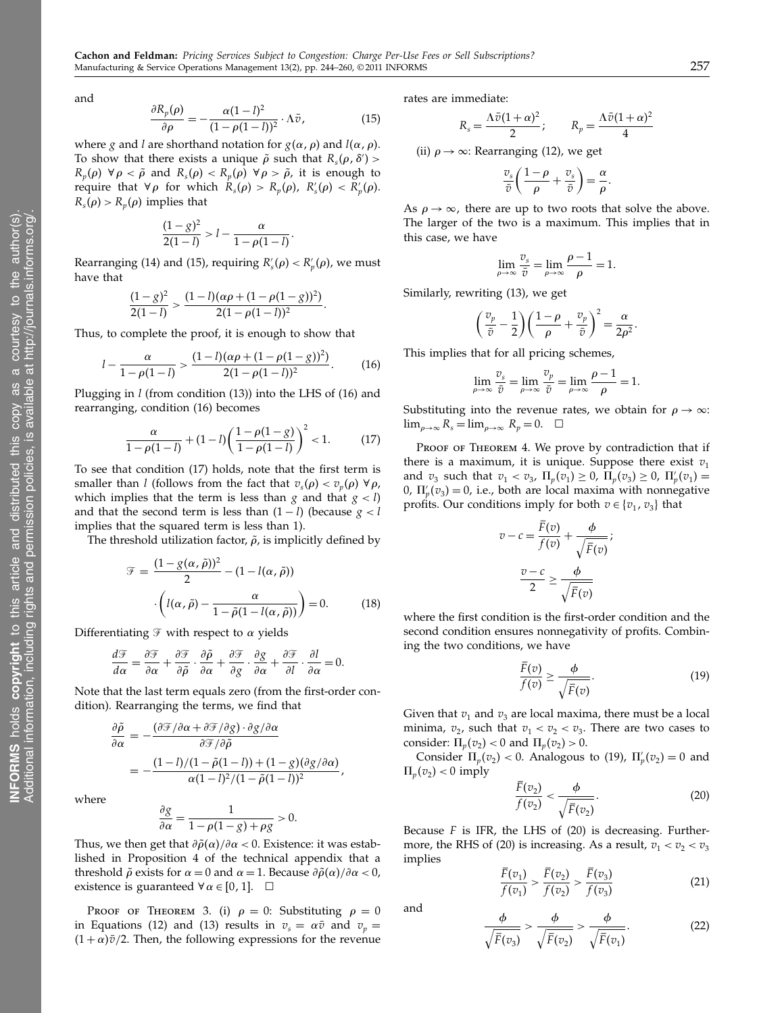and

$$
\frac{\partial R_p(\rho)}{\partial \rho} = -\frac{\alpha (1 - l)^2}{(1 - \rho (1 - l))^2} \cdot \Lambda \bar{v},\tag{15}
$$

where *g* and *l* are shorthand notation for  $g(\alpha, \rho)$  and  $l(\alpha, \rho)$ . To show that there exists a unique  $\tilde{\rho}$  such that  $R_s(\rho, \delta')$  >  $R_p(\rho) \ \forall \rho < \tilde{\rho}$  and  $R_s(\rho) < R_p(\rho) \ \forall \rho > \tilde{\rho}$ , it is enough to require that  $\forall \rho$  for which  $R_s(\rho) > R_p(\rho)$ ,  $R_s'(\rho) < R_p'(\rho)$ .  $R_s(\rho) > R_p(\rho)$  implies that

$$
\frac{(1-g)^2}{2(1-l)} > l - \frac{\alpha}{1-\rho(1-l)}.
$$

Rearranging (14) and (15), requiring  $R'_{s}(\rho) < R'_{p}(\rho)$ , we must have that

$$
\frac{(1-g)^2}{2(1-l)}>\frac{(1-l)(\alpha\rho+(1-\rho(1-g))^2)}{2(1-\rho(1-l))^2}.
$$

Thus, to complete the proof, it is enough to show that

$$
l - \frac{\alpha}{1 - \rho(1 - l)} > \frac{(1 - l)(\alpha \rho + (1 - \rho(1 - g))^2)}{2(1 - \rho(1 - l))^2}.
$$
 (16)

Plugging in  $l$  (from condition (13)) into the LHS of (16) and rearranging, condition (16) becomes

$$
\frac{\alpha}{1-\rho(1-l)} + (1-l)\left(\frac{1-\rho(1-g)}{1-\rho(1-l)}\right)^2 < 1. \tag{17}
$$

To see that condition (17) holds, note that the first term is smaller than *l* (follows from the fact that  $v_s(\rho) < v_p(\rho) \ \forall \rho$ , which implies that the term is less than g and that  $g < l$ ) and that the second term is less than  $(1 - l)$  (because  $g < l$ implies that the squared term is less than 1).

The threshold utilization factor,  $\tilde{\rho}$ , is implicitly defined by

$$
\mathcal{F} = \frac{(1 - g(\alpha, \tilde{\rho}))^2}{2} - (1 - l(\alpha, \tilde{\rho}))
$$

$$
\cdot \left( l(\alpha, \tilde{\rho}) - \frac{\alpha}{1 - \tilde{\rho}(1 - l(\alpha, \tilde{\rho}))} \right) = 0. \tag{18}
$$

Differentiating  ${\mathscr{F}}$  with respect to  $\alpha$  yields

$$
\frac{d\mathcal{F}}{d\alpha} = \frac{\partial \mathcal{F}}{\partial \alpha} + \frac{\partial \mathcal{F}}{\partial \tilde{\rho}} \cdot \frac{\partial \tilde{\rho}}{\partial \alpha} + \frac{\partial \mathcal{F}}{\partial g} \cdot \frac{\partial g}{\partial \alpha} + \frac{\partial \mathcal{F}}{\partial l} \cdot \frac{\partial l}{\partial \alpha} = 0.
$$

Note that the last term equals zero (from the first-order condition). Rearranging the terms, we find that

$$
\frac{\partial \tilde{\rho}}{\partial \alpha} = -\frac{(\partial \mathcal{F}/\partial \alpha + \partial \mathcal{F}/\partial g) \cdot \partial g/\partial \alpha}{\partial \mathcal{F}/\partial \tilde{\rho}} \n= -\frac{(1-l)/(1-\tilde{\rho}(1-l)) + (1-g)(\partial g/\partial \alpha)}{\alpha(1-l)^2/(1-\tilde{\rho}(1-l))^2},
$$

where

$$
\frac{\partial g}{\partial \alpha} = \frac{1}{1 - \rho(1 - g) + \rho g} > 0.
$$

Thus, we then get that  $\frac{\partial \tilde{\rho}(\alpha)}{\partial \alpha} < 0$ . Existence: it was established in Proposition 4 of the technical appendix that a threshold  $\tilde{\rho}$  exists for  $\alpha = 0$  and  $\alpha = 1$ . Because  $\partial \tilde{\rho}(\alpha)/\partial \alpha < 0$ , existence is guaranteed  $\forall \alpha \in [0, 1]$ .  $\Box$ 

PROOF OF THEOREM 3. (i)  $\rho = 0$ : Substituting  $\rho = 0$ in Equations (12) and (13) results in  $v_s = \alpha \bar{v}$  and  $v_p =$  $(1 + \alpha)\bar{v}/2$ . Then, the following expressions for the revenue rates are immediate:

$$
R_s = \frac{\Lambda \bar{v}(1+\alpha)^2}{2}; \qquad R_p = \frac{\Lambda \bar{v}(1+\alpha)^2}{4}
$$

(ii)  $\rho \rightarrow \infty$ : Rearranging (12), we get

$$
\frac{v_s}{\bar{v}}\bigg(\frac{1-\rho}{\rho}+\frac{v_s}{\bar{v}}\bigg)=\frac{\alpha}{\rho}.
$$

As  $\rho \rightarrow \infty$ , there are up to two roots that solve the above. The larger of the two is a maximum. This implies that in this case, we have

$$
\lim_{\rho \to \infty} \frac{v_s}{\bar{v}} = \lim_{\rho \to \infty} \frac{\rho - 1}{\rho} = 1.
$$

Similarly, rewriting (13), we get

$$
\left(\frac{v_p}{\bar{v}} - \frac{1}{2}\right) \left(\frac{1-\rho}{\rho} + \frac{v_p}{\bar{v}}\right)^2 = \frac{\alpha}{2\rho^2}.
$$

This implies that for all pricing schemes,

$$
\lim_{\rho \to \infty} \frac{v_s}{\bar{v}} = \lim_{\rho \to \infty} \frac{v_p}{\bar{v}} = \lim_{\rho \to \infty} \frac{\rho - 1}{\rho} = 1.
$$

Substituting into the revenue rates, we obtain for  $\rho \to \infty$ :  $\lim_{\rho \to \infty} R_s = \lim_{\rho \to \infty} R_p = 0. \quad \Box$ 

PROOF OF THEOREM 4. We prove by contradiction that if there is a maximum, it is unique. Suppose there exist  $v_1$ and  $v_3$  such that  $v_1 < v_3$ ,  $\Pi_p(v_1) \ge 0$ ,  $\Pi_p(v_3) \ge 0$ ,  $\Pi'_p(v_1) =$ 0,  $\Pi_p'(v_3) = 0$ , i.e., both are local maxima with nonnegative profits. Our conditions imply for both  $v \in \{v_1, v_3\}$  that

$$
v - c = \frac{F(v)}{f(v)} + \frac{\phi}{\sqrt{\bar{F}(v)}};
$$

$$
\frac{v - c}{2} \ge \frac{\phi}{\sqrt{\bar{F}(v)}}
$$

where the first condition is the first-order condition and the second condition ensures nonnegativity of profits. Combining the two conditions, we have

$$
\frac{\overline{F}(v)}{f(v)} \ge \frac{\phi}{\sqrt{\overline{F}(v)}}.\tag{19}
$$

Given that  $v_1$  and  $v_3$  are local maxima, there must be a local minima,  $v_2$ , such that  $v_1 < v_2 < v_3$ . There are two cases to consider:  $\Pi_n(v_2) < 0$  and  $\Pi_n(v_2) > 0$ .

Consider  $\Pi_p(v_2) < 0$ . Analogous to (19),  $\Pi'_p(v_2) = 0$  and  $\Pi_p(v_2)$  < 0 imply

$$
\frac{\overline{F}(v_2)}{f(v_2)} < \frac{\phi}{\sqrt{\overline{F}(v_2)}}.\tag{20}
$$

Because  $F$  is IFR, the LHS of (20) is decreasing. Furthermore, the RHS of (20) is increasing. As a result,  $v_1 < v_2 < v_3$ implies

$$
\frac{\bar{F}(v_1)}{f(v_1)} > \frac{\bar{F}(v_2)}{f(v_2)} > \frac{\bar{F}(v_3)}{f(v_3)}
$$
\n(21)

and

$$
\frac{\phi}{\sqrt{\bar{F}(v_3)}} > \frac{\phi}{\sqrt{\bar{F}(v_2)}} > \frac{\phi}{\sqrt{\bar{F}(v_1)}}.\tag{22}
$$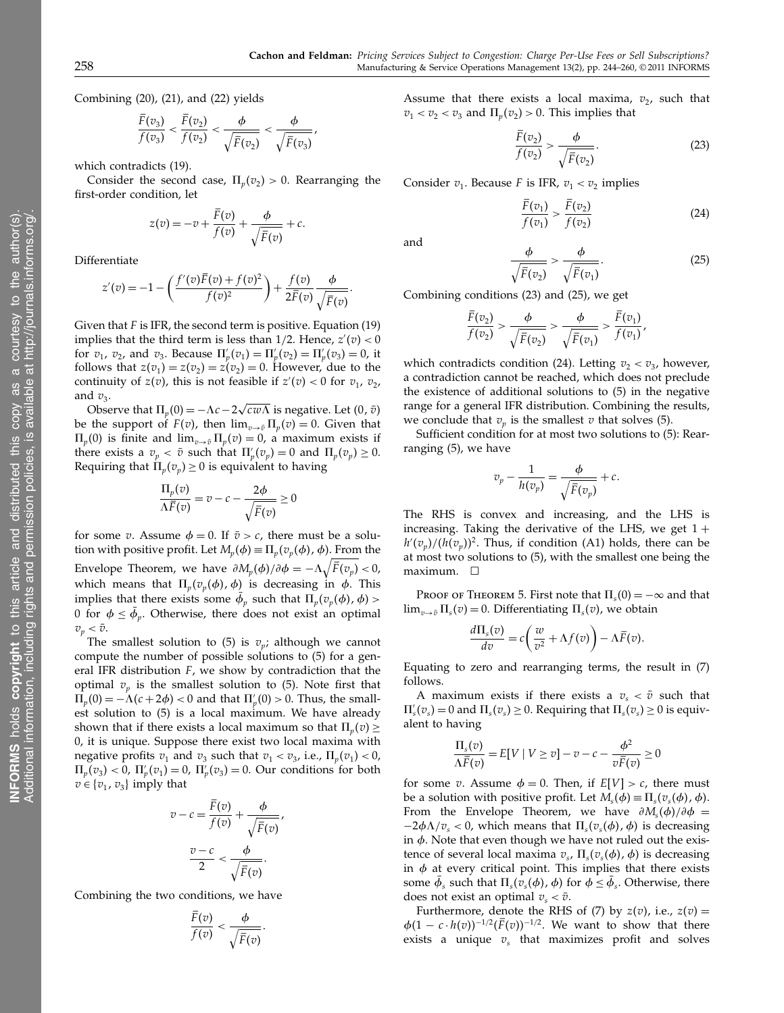Combining (20), (21), and (22) yields

$$
\frac{F(v_3)}{f(v_3)} < \frac{F(v_2)}{f(v_2)} < \frac{\phi}{\sqrt{\overline{F}(v_2)}} < \frac{\phi}{\sqrt{\overline{F}(v_3)}},
$$

which contradicts (19).

Consider the second case,  $\Pi_p(v_2) > 0$ . Rearranging the first-order condition, let

$$
z(v) = -v + \frac{\overline{F}(v)}{f(v)} + \frac{\phi}{\sqrt{\overline{F}(v)}} + c.
$$

Differentiate

$$
z'(v) = -1 - \left(\frac{f'(v)\overline{F}(v) + f(v)^2}{f(v)^2}\right) + \frac{f(v)}{2\overline{F}(v)}\frac{\phi}{\sqrt{\overline{F}(v)}}.
$$

Given that  $F$  is IFR, the second term is positive. Equation (19) implies that the third term is less than  $1/2$ . Hence,  $z'(v) < 0$ for  $v_1$ ,  $v_2$ , and  $v_3$ . Because  $\Pi'_{p}(v_1) = \Pi'_{p}(v_2) = \Pi'_{p}(v_3) = 0$ , it follows that  $z(v_1) = z(v_2) = z(v_2) = 0$ . However, due to the continuity of  $z(v)$ , this is not feasible if  $z'(v) < 0$  for  $v_1$ ,  $v_2$ , and  $v_3$ .

Observe that  $\Pi_p(0) = -\Lambda c - 2\sqrt{cw\Lambda}$  is negative. Let  $(0, \bar{v})$ be the support of  $F(v)$ , then  $\lim_{v\to \bar{v}} \Pi_v(v) = 0$ . Given that  $\Pi_p(0)$  is finite and  $\lim_{v\to \bar{v}} \Pi_p(v) = 0$ , a maximum exists if there exists a  $v_p < \bar{v}$  such that  $\Pi_p'(v_p) = 0$  and  $\Pi_p(v_p) \geq 0$ . Requiring that  $\Pi_p(v_p) \geq 0$  is equivalent to having

$$
\frac{\Pi_p(v)}{\Lambda \overline{F}(v)} = v - c - \frac{2\phi}{\sqrt{\overline{F}(v)}} \ge 0
$$

for some *v*. Assume  $\phi = 0$ . If  $\bar{v} > c$ , there must be a solution with positive profit. Let  $M_p(\phi) \equiv \Pi_p(v_p(\phi), \phi)$ . From the Envelope Theorem, we have  $\partial M_p(\phi)/\partial \phi = -\Lambda \sqrt{\bar{F}(v_p)} < 0$ , which means that  $\Pi_p(v_p(\phi), \phi)$  is decreasing in  $\phi$ . This implies that there exists some  $\phi_p$  such that  $\Pi_p(v_p(\phi), \phi)$  > 0 for  $\phi \leq \phi_p$ . Otherwise, there does not exist an optimal  $v_p < \bar{v}$ .

The smallest solution to (5) is  $v_p$ ; although we cannot compute the number of possible solutions to (5) for a general IFR distribution  $F$ , we show by contradiction that the optimal  $v_n$  is the smallest solution to (5). Note first that  $\Pi_p(0) = -\Lambda(c + 2\phi) < 0$  and that  $\Pi'_p(0) > 0$ . Thus, the smallest solution to (5) is a local maximum. We have already shown that if there exists a local maximum so that  $\Pi_n(v) \geq$ 0, it is unique. Suppose there exist two local maxima with negative profits  $v_1$  and  $v_3$  such that  $v_1 < v_3$ , i.e.,  $\Pi_n(v_1) < 0$ ,  $\Pi_p(v_3) < 0$ ,  $\Pi'_p(v_1) = 0$ ,  $\Pi'_p(v_3) = 0$ . Our conditions for both  $v \in \{v_1, v_3\}$  imply that

$$
v - c = \frac{F(v)}{f(v)} + \frac{\phi}{\sqrt{\overline{F}(v)}}
$$

$$
\frac{v - c}{2} < \frac{\phi}{\sqrt{\overline{F}(v)}}.
$$

 $\overline{1}$ 

Combining the two conditions, we have

$$
\frac{F(v)}{f(v)} < \frac{\phi}{\sqrt{\overline{F}(v)}}.
$$

Assume that there exists a local maxima,  $v_2$ , such that  $v_1 < v_2 < v_3$  and  $\Pi_{\nu}(v_2) > 0$ . This implies that

$$
\frac{\overline{F}(v_2)}{f(v_2)} > \frac{\phi}{\sqrt{\overline{F}(v_2)}}.\tag{23}
$$

Consider  $v_1$ . Because F is IFR,  $v_1 < v_2$  implies

$$
\frac{\overline{F}(v_1)}{f(v_1)} > \frac{\overline{F}(v_2)}{f(v_2)}\tag{24}
$$

and

$$
\frac{\phi}{\sqrt{\bar{F}(v_2)}} > \frac{\phi}{\sqrt{\bar{F}(v_1)}}.
$$
\n(25)

Combining conditions (23) and (25), we get

$$
\frac{\bar{F}(v_2)}{f(v_2)} > \frac{\phi}{\sqrt{\bar{F}(v_2)}} > \frac{\phi}{\sqrt{\bar{F}(v_1)}} > \frac{\bar{F}(v_1)}{f(v_1)},
$$

which contradicts condition (24). Letting  $v_2 < v_3$ , however, a contradiction cannot be reached, which does not preclude the existence of additional solutions to (5) in the negative range for a general IFR distribution. Combining the results, we conclude that  $v_p$  is the smallest  $v$  that solves (5).

Sufficient condition for at most two solutions to (5): Rearranging (5), we have

$$
v_p - \frac{1}{h(v_p)} = \frac{\phi}{\sqrt{\overline{F}(v_p)}} + c.
$$

The RHS is convex and increasing, and the LHS is increasing. Taking the derivative of the LHS, we get  $1 +$  $h'(v_p)/(h(v_p))^2$ . Thus, if condition (A1) holds, there can be at most two solutions to (5), with the smallest one being the maximum.  $\square$ 

PROOF OF THEOREM 5. First note that  $\Pi_s(0) = -\infty$  and that  $\lim_{v\to \bar{v}} \Pi_s(v) = 0$ . Differentiating  $\Pi_s(v)$ , we obtain

$$
\frac{d\Pi_s(v)}{dv} = c\bigg(\frac{w}{v^2} + \Lambda f(v)\bigg) - \Lambda \overline{F}(v).
$$

Equating to zero and rearranging terms, the result in (7) follows.

A maximum exists if there exists a  $v_s < \bar{v}$  such that  $\Pi'_s(v_s) = 0$  and  $\Pi_s(v_s) \geq 0$ . Requiring that  $\Pi_s(v_s) \geq 0$  is equivalent to having

$$
\frac{\Pi_s(v)}{\Lambda \overline{F}(v)} = E[V \mid V \ge v] - v - c - \frac{\phi^2}{v\overline{F}(v)} \ge 0
$$

for some v. Assume  $\phi = 0$ . Then, if  $E[V] > c$ , there must be a solution with positive profit. Let  $M_s(\phi) \equiv \Pi_s(v_s(\phi), \phi)$ . From the Envelope Theorem, we have  $\partial M_s(\phi)/\partial \phi =$  $-2\phi\Lambda/v_s < 0$ , which means that  $\Pi_s(v_s(\phi), \phi)$  is decreasing in  $\phi$ . Note that even though we have not ruled out the existence of several local maxima  $v_s$ ,  $\Pi_s(v_s(\phi), \phi)$  is decreasing in  $\phi$  at every critical point. This implies that there exists some  $\phi_s$  such that  $\Pi_s(v_s(\phi), \phi)$  for  $\phi \leq \phi_s$ . Otherwise, there does not exist an optimal  $v_s < \bar{v}$ .

Furthermore, denote the RHS of (7) by  $z(v)$ , i.e.,  $z(v) =$  $\phi(1 - c \cdot h(v))^{-1/2}$   $(\overline{F}(v))^{-1/2}$ . We want to show that there exists a unique  $v_s$  that maximizes profit and solves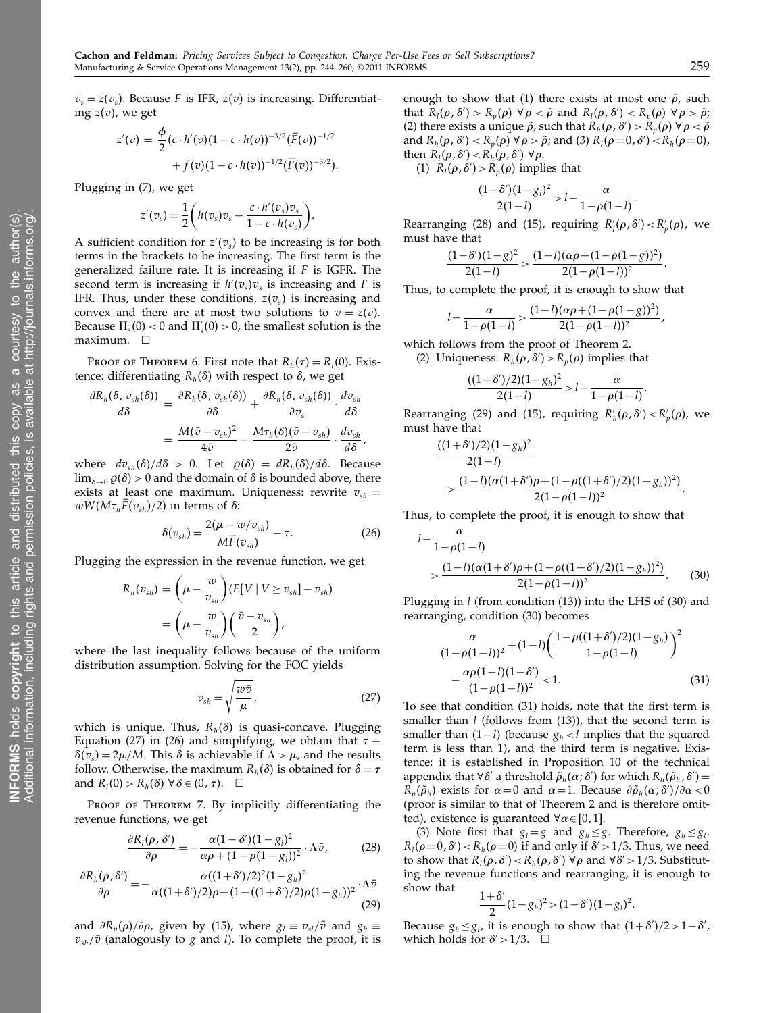$v_s = z(v_s)$ . Because F is IFR,  $z(v)$  is increasing. Differentiating  $z(v)$ , we get

$$
z'(v) = \frac{\phi}{2} (c \cdot h'(v) (1 - c \cdot h(v))^{-3/2} (\overline{F}(v))^{-1/2} + f(v) (1 - c \cdot h(v))^{-1/2} (\overline{F}(v))^{-3/2}).
$$

Plugging in (7), we get

$$
z'(v_s) = \frac{1}{2} \bigg(h(v_s)v_s + \frac{c \cdot h'(v_s)v_s}{1 - c \cdot h(v_s)}\bigg).
$$

A sufficient condition for  $z'(v_s)$  to be increasing is for both terms in the brackets to be increasing. The first term is the generalized failure rate. It is increasing if  $F$  is IGFR. The second term is increasing if  $h'(v_s)v_s$  is increasing and F is IFR. Thus, under these conditions,  $z(v_s)$  is increasing and convex and there are at most two solutions to  $v = z(v)$ . Because  $\Pi_s(0) < 0$  and  $\Pi'_s(0) > 0$ , the smallest solution is the  $maximum.$   $\Box$ 

PROOF OF THEOREM 6. First note that  $R_h(\tau) = R_l(0)$ . Existence: differentiating  $R_h(\delta)$  with respect to  $\delta$ , we get

$$
\frac{dR_h(\delta, v_{sh}(\delta))}{d\delta} = \frac{\partial R_h(\delta, v_{sh}(\delta))}{\partial \delta} + \frac{\partial R_h(\delta, v_{sh}(\delta))}{\partial v_s} \cdot \frac{dv_{sh}}{d\delta} \n= \frac{M(\bar{v} - v_{sh})^2}{4\bar{v}} - \frac{M\tau_h(\delta)(\bar{v} - v_{sh})}{2\bar{v}} \cdot \frac{dv_{sh}}{d\delta},
$$

where  $dv_{sh}(\delta)/d\delta > 0$ . Let  $\varrho(\delta) = dR_h(\delta)/d\delta$ . Because  $\lim_{\delta\to 0} \varrho(\delta) > 0$  and the domain of  $\delta$  is bounded above, there exists at least one maximum. Uniqueness: rewrite  $v_{sh}$  =  $wW(M\tau_h F(v_{sh})/2)$  in terms of  $\delta$ :

$$
\delta(v_{sh}) = \frac{2(\mu - w/v_{sh})}{M\bar{F}(v_{sh})} - \tau.
$$
\n(26)

Plugging the expression in the revenue function, we get

$$
R_h(v_{sh}) = \left(\mu - \frac{w}{v_{sh}}\right) (E[V \mid V \ge v_{sh}] - v_{sh})
$$
  
= 
$$
\left(\mu - \frac{w}{v_{sh}}\right) \left(\frac{\bar{v} - v_{sh}}{2}\right),
$$

where the last inequality follows because of the uniform distribution assumption. Solving for the FOC yields

$$
v_{sh} = \sqrt{\frac{w\bar{v}}{\mu}},\tag{27}
$$

which is unique. Thus,  $R<sub>h</sub>(\delta)$  is quasi-concave. Plugging Equation (27) in (26) and simplifying, we obtain that  $\tau +$  $\delta(v_s) = 2\mu/M$ . This  $\delta$  is achievable if  $\Lambda > \mu$ , and the results follow. Otherwise, the maximum  $R_h(\delta)$  is obtained for  $\delta = \tau$ and  $R_l(0) > R_h(\delta) \,\forall \,\delta \in (0, \tau)$ .  $\Box$ 

PROOF OF THEOREM 7. By implicitly differentiating the revenue functions, we get

$$
\frac{\partial R_l(\rho, \delta')}{\partial \rho} = -\frac{\alpha (1 - \delta') (1 - g_l)^2}{\alpha \rho + (1 - \rho (1 - g_l))^2} \cdot \Lambda \bar{v},\tag{28}
$$

$$
\frac{\partial R_h(\rho,\delta')}{\partial \rho} = -\frac{\alpha((1+\delta')/2)^2(1-g_h)^2}{\alpha((1+\delta')/2)\rho + (1 - ((1+\delta')/2)\rho(1-g_h))^2} \cdot \Lambda \bar{v}
$$
\n(29)

and  $\partial R_p(\rho)/\partial \rho$ , given by (15), where  $g_l \equiv v_{sl}/\bar{v}$  and  $g_h \equiv$  $v_{sh}/\bar{v}$  (analogously to g and l). To complete the proof, it is enough to show that (1) there exists at most one  $\tilde{\rho}$ , such that  $R_l(\rho, \delta') > R_p(\rho) \,\forall \rho < \tilde{\rho}$  and  $R_l(\rho, \delta') < R_p(\rho) \,\forall \rho > \tilde{\rho};$ (2) there exists a unique  $\tilde{\rho}$ , such that  $R_h(\rho, \delta') > R_p(\rho) \; \forall \, \rho < \tilde{\rho}$ and  $R_h(\rho, \delta') < R_p(\rho)$   $\forall \rho > \tilde{\rho}$ ; and (3)  $R_l(\rho=0, \delta') < R_h(\rho=0)$ , then  $R_l(\rho, \delta') < R_h(\rho, \delta') \ \forall \rho$ .

(1)  $R_l(\rho, \delta') > R_p(\rho)$  implies that

$$
\frac{(1-\delta')(1-g_l)^2}{2(1-l)} > l - \frac{\alpha}{1-\rho(1-l)}.
$$

Rearranging (28) and (15), requiring  $R'_{l}(\rho, \delta') < R'_{p}(\rho)$ , we must have that

$$
\frac{(1-\delta')(1-g)^2}{2(1-l)} > \frac{(1-l)(\alpha\rho+(1-\rho(1-g))^2)}{2(1-\rho(1-l))^2}.
$$

Thus, to complete the proof, it is enough to show that

$$
l-\frac{\alpha}{1-\rho(1-l)}>\frac{(1-l)(\alpha\rho+(1-\rho(1-g))^2)}{2(1-\rho(1-l))^2},
$$

which follows from the proof of Theorem 2. (2) Uniqueness:  $R_h(\rho, \delta') > R_p(\rho)$  implies that

$$
\frac{((1+\delta')/2)(1-g_h)^2}{2(1-l)} > l - \frac{\alpha}{1-\rho(1-l)}.
$$

Rearranging (29) and (15), requiring  $R'_{h}(\rho, \delta') < R'_{p}(\rho)$ , we must have that

$$
\frac{((1+\delta')/2)(1-g_h)^2}{2(1-l)}
$$
  
> 
$$
\frac{(1-l)(\alpha(1+\delta')\rho+(1-\rho((1+\delta')/2)(1-g_h))^2)}{2(1-\rho(1-l))^2}.
$$

Thus, to complete the proof, it is enough to show that

$$
l - \frac{\alpha}{1 - \rho(1 - l)}
$$
  
> 
$$
\frac{(1 - l)(\alpha(1 + \delta')\rho + (1 - \rho((1 + \delta')/2)(1 - g_h))^2)}{2(1 - \rho(1 - l))^2}.
$$
 (30)

Plugging in  $l$  (from condition (13)) into the LHS of (30) and rearranging, condition (30) becomes

$$
\frac{\alpha}{(1-\rho(1-l))^2} + (1-l)\left(\frac{1-\rho((1+\delta')/2)(1-g_h)}{1-\rho(1-l)}\right)^2 - \frac{\alpha\rho(1-l)(1-\delta')}{(1-\rho(1-l))^2} < 1.
$$
\n(31)

To see that condition (31) holds, note that the first term is smaller than  $l$  (follows from  $(13)$ ), that the second term is smaller than  $(1-l)$  (because  $g_h < l$  implies that the squared term is less than 1), and the third term is negative. Existence: it is established in Proposition 10 of the technical appendix that ∀ $\delta'$  a threshold  $\tilde{\rho}_h(\alpha; \delta')$  for which  $R_h(\tilde{\rho}_h, \delta') =$  $R_p(\tilde{\rho}_h)$  exists for  $\alpha\!=\!0$  and  $\alpha\!=\!1$ . Because  $\partial \tilde{\rho}_h(\alpha;\delta')/\partial \alpha\!<\!0$ (proof is similar to that of Theorem 2 and is therefore omitted), existence is guaranteed  $\forall \alpha \in [0,1]$ .

(3) Note first that  $g_l = g$  and  $g_h \leq g$ . Therefore,  $g_h \leq g_l$ .  $R_l(\rho=0, \delta') < R_h(\rho=0)$  if and only if  $\delta' > 1/3$ . Thus, we need to show that  $R_l(\rho, \delta') < R_h(\rho, \delta') \,\forall \rho$  and  $\forall \delta' > 1/3$ . Substituting the revenue functions and rearranging, it is enough to show that

$$
\frac{1+\delta'}{2}(1-g_h)^2>(1-\delta')(1-g_l)^2.
$$

Because  $g_h \leq g_l$ , it is enough to show that  $(1+\delta')/2 > 1-\delta'$ , which holds for  $\delta' > 1/3$ .  $\Box$